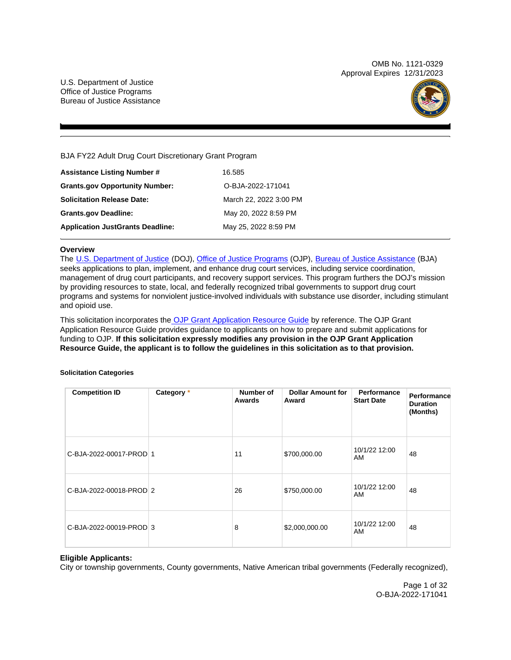OMB No. 1121-0329 Approval Expires 12/31/2023

U.S. Department of Justice Office of Justice Programs Bureau of Justice Assistance



BJA FY22 Adult Drug Court Discretionary Grant Program

| 16.585                 |
|------------------------|
| O-BJA-2022-171041      |
| March 22, 2022 3:00 PM |
| May 20, 2022 8:59 PM   |
| May 25, 2022 8:59 PM   |
|                        |

# **Overview**

The [U.S. Department of Justice](https://www.usdoj.gov/) (DOJ), [Office of Justice Programs](https://www.ojp.usdoj.gov/) (OJP), [Bureau of Justice Assistance](https://bja.ojp.gov/) (BJA) seeks applications to plan, implement, and enhance drug court services, including service coordination, management of drug court participants, and recovery support services. This program furthers the DOJ's mission by providing resources to state, local, and federally recognized tribal governments to support drug court programs and systems for nonviolent justice-involved individuals with substance use disorder, including stimulant and opioid use.

This solicitation incorporates th[e OJP Grant Application Resource Guide](https://www.ojp.gov/funding/Apply/Resources/Grant-App-Resource-Guide.htm) by reference. The OJP Grant Application Resource Guide provides guidance to applicants on how to prepare and submit applications for funding to OJP. **If this solicitation expressly modifies any provision in the OJP Grant Application Resource Guide, the applicant is to follow the guidelines in this solicitation as to that provision.** 

### **Solicitation Categories**

| <b>Competition ID</b>   | Category * | Number of<br>Awards | <b>Dollar Amount for</b><br>Award | Performance<br><b>Start Date</b> | Performance<br><b>Duration</b><br>(Months) |
|-------------------------|------------|---------------------|-----------------------------------|----------------------------------|--------------------------------------------|
| C-BJA-2022-00017-PROD 1 |            | 11                  | \$700,000.00                      | 10/1/22 12:00<br>AM              | 48                                         |
| C-BJA-2022-00018-PROD 2 |            | 26                  | \$750,000.00                      | 10/1/22 12:00<br>AM              | 48                                         |
| C-BJA-2022-00019-PROD 3 |            | 8                   | \$2,000,000.00                    | 10/1/22 12:00<br>AM              | 48                                         |

# **Eligible Applicants:**

City or township governments, County governments, Native American tribal governments (Federally recognized),

Page 1 of 32 O-BJA-2022-171041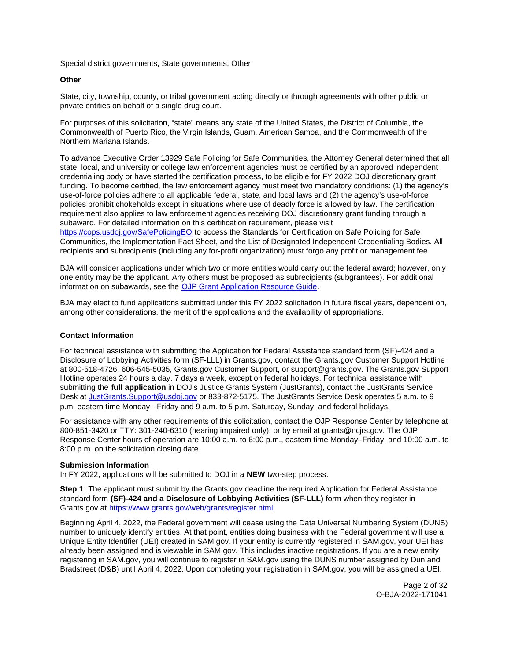<span id="page-1-0"></span>Special district governments, State governments, Other

### **Other**

State, city, township, county, or tribal government acting directly or through agreements with other public or private entities on behalf of a single drug court.

For purposes of this solicitation, "state" means any state of the United States, the District of Columbia, the Commonwealth of Puerto Rico, the Virgin Islands, Guam, American Samoa, and the Commonwealth of the Northern Mariana Islands.

To advance Executive Order 13929 Safe Policing for Safe Communities, the Attorney General determined that all state, local, and university or college law enforcement agencies must be certified by an approved independent credentialing body or have started the certification process, to be eligible for FY 2022 DOJ discretionary grant funding. To become certified, the law enforcement agency must meet two mandatory conditions: (1) the agency's use-of-force policies adhere to all applicable federal, state, and local laws and (2) the agency's use-of-force policies prohibit chokeholds except in situations where use of deadly force is allowed by law. The certification requirement also applies to law enforcement agencies receiving DOJ discretionary grant funding through a subaward. For detailed information on this certification requirement, please visit <https://cops.usdoj.gov/SafePolicingEO>to access the Standards for Certification on Safe Policing for Safe

Communities, the Implementation Fact Sheet, and the List of Designated Independent Credentialing Bodies. All recipients and subrecipients (including any for-profit organization) must forgo any profit or management fee.

BJA will consider applications under which two or more entities would carry out the federal award; however, only one entity may be the applicant. Any others must be proposed as subrecipients (subgrantees). For additional information on subawards, see the [OJP Grant Application Resource Guide.](https://www.ojp.gov/funding/Apply/Resources/Grant-App-Resource-Guide.htm)

BJA may elect to fund applications submitted under this FY 2022 solicitation in future fiscal years, dependent on, among other considerations, the merit of the applications and the availability of appropriations.

### **Contact Information**

For technical assistance with submitting the Application for Federal Assistance standard form (SF)-424 and a Disclosure of Lobbying Activities form (SF-LLL) in [Grants.gov](https://Grants.gov), contact the [Grants.gov](https://Grants.gov) Customer Support Hotline at 800-518-4726, 606-545-5035, [Grants.gov](https://Grants.gov) Customer Support, or [support@grants.gov.](mailto:support@grants.gov) The [Grants.gov](https://Grants.gov) Support Hotline operates 24 hours a day, 7 days a week, except on federal holidays. For technical assistance with submitting the **full application** in DOJ's Justice Grants System (JustGrants), contact the JustGrants Service Desk at [JustGrants.Support@usdoj.gov](http://mailto:JustGrants.Support@usdoj.gov) or 833-872-5175. The JustGrants Service Desk operates 5 a.m. to 9 p.m. eastern time Monday - Friday and 9 a.m. to 5 p.m. Saturday, Sunday, and federal holidays.

For assistance with any other requirements of this solicitation, contact the OJP Response Center by telephone at 800-851-3420 or TTY: 301-240-6310 (hearing impaired only), or by email at [grants@ncjrs.gov.](mailto:grants@ncjrs.gov) The OJP Response Center hours of operation are 10:00 a.m. to 6:00 p.m., eastern time Monday–Friday, and 10:00 a.m. to 8:00 p.m. on the solicitation closing date.

### **Submission Information**

In FY 2022, applications will be submitted to DOJ in a **NEW** two-step process.

**Step 1**: The applicant must submit by the [Grants.gov](https://Grants.gov) deadline the required Application for Federal Assistance standard form **(SF)-424 and a Disclosure of Lobbying Activities (SF-LLL)** form when they register in [Grants.gov](https://Grants.gov) at [https://www.grants.gov/web/grants/register.html.](https://www.grants.gov/web/grants/register.html)

Beginning April 4, 2022, the Federal government will cease using the Data Universal Numbering System (DUNS) number to uniquely identify entities. At that point, entities doing business with the Federal government will use a Unique Entity Identifier (UEI) created in SAM.gov. If your entity is currently registered in SAM.gov, your UEI has already been assigned and is viewable in SAM.gov. This includes inactive registrations. If you are a new entity registering in SAM.gov, you will continue to register in SAM.gov using the DUNS number assigned by Dun and Bradstreet (D&B) until April 4, 2022. Upon completing your registration in SAM.gov, you will be assigned a UEI.

> Page 2 of 32 O-BJA-2022-171041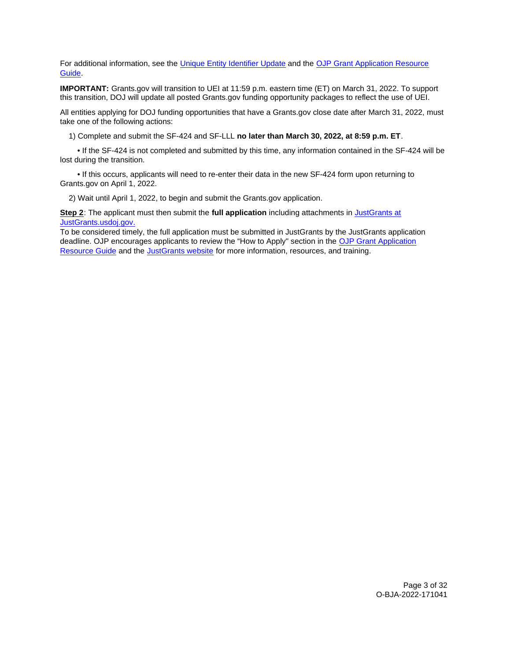For additional information, see the [Unique Entity Identifier Update](https://www.gsa.gov/about-us/organization/federal-acquisition-service/office-of-systems-management/integrated-award-environment-iae/iae-systems-information-kit/unique-entity-identifier-update) and the OJP Grant Application Resource [Guide.](https://www.ojp.gov/funding/apply/ojp-grant-application-resource-guide#unique-entity)

**IMPORTANT:** [Grants.gov](https://Grants.gov) will transition to UEI at 11:59 p.m. eastern time (ET) on March 31, 2022. To support this transition, DOJ will update all posted [Grants.gov](https://Grants.gov) funding opportunity packages to reflect the use of UEI.

All entities applying for DOJ funding opportunities that have a [Grants.gov](https://Grants.gov) close date after March 31, 2022, must take one of the following actions:

1) Complete and submit the SF-424 and SF-LLL **no later than March 30, 2022, at 8:59 p.m. ET**.

 • If the SF-424 is not completed and submitted by this time, any information contained in the SF-424 will be lost during the transition.

 • If this occurs, applicants will need to re-enter their data in the new SF-424 form upon returning to [Grants.gov](https://Grants.gov) on April 1, 2022.

2) Wait until April 1, 2022, to begin and submit the [Grants.gov](https://Grants.gov) application.

**Step 2**: The applicant must then submit the **full application** including attachments in [JustGrants at](https://justicegrants.usdoj.gov/)  [JustGrants.usdoj.gov.](https://justicegrants.usdoj.gov/) 

To be considered timely, the full application must be submitted in JustGrants by the JustGrants application deadline. OJP encourages applicants to review the "How to Apply" section in the [OJP Grant Application](https://www.ojp.gov/funding/apply/ojp-grant-application-resource-guide#apply)  [Resource Guide](https://www.ojp.gov/funding/apply/ojp-grant-application-resource-guide#apply) and the [JustGrants website](https://justicegrants.usdoj.gov/news) for more information, resources, and training.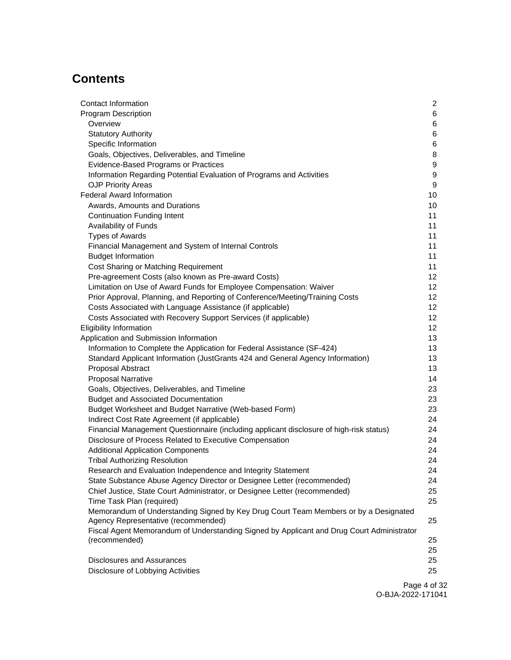# **Contents**

| Contact Information                                                                       | $\mathbf{2}$ |
|-------------------------------------------------------------------------------------------|--------------|
| <b>Program Description</b>                                                                | 6            |
| Overview                                                                                  | 6            |
| <b>Statutory Authority</b>                                                                | 6            |
| Specific Information                                                                      | 6            |
| Goals, Objectives, Deliverables, and Timeline                                             | 8            |
| Evidence-Based Programs or Practices                                                      | 9            |
| Information Regarding Potential Evaluation of Programs and Activities                     | 9            |
| <b>OJP Priority Areas</b>                                                                 | 9            |
| <b>Federal Award Information</b>                                                          | 10           |
| Awards, Amounts and Durations                                                             | 10           |
| <b>Continuation Funding Intent</b>                                                        | 11           |
| Availability of Funds                                                                     | 11           |
| <b>Types of Awards</b>                                                                    | 11           |
| Financial Management and System of Internal Controls                                      | 11           |
| <b>Budget Information</b>                                                                 | 11           |
| Cost Sharing or Matching Requirement                                                      | 11           |
| Pre-agreement Costs (also known as Pre-award Costs)                                       | 12           |
| Limitation on Use of Award Funds for Employee Compensation: Waiver                        | 12           |
| Prior Approval, Planning, and Reporting of Conference/Meeting/Training Costs              | 12           |
| Costs Associated with Language Assistance (if applicable)                                 | 12           |
| Costs Associated with Recovery Support Services (if applicable)                           | 12           |
| <b>Eligibility Information</b>                                                            | 12           |
| Application and Submission Information                                                    | 13           |
| Information to Complete the Application for Federal Assistance (SF-424)                   | 13           |
| Standard Applicant Information (JustGrants 424 and General Agency Information)            | 13           |
| Proposal Abstract                                                                         | 13           |
| <b>Proposal Narrative</b>                                                                 | 14           |
| Goals, Objectives, Deliverables, and Timeline                                             | 23           |
| <b>Budget and Associated Documentation</b>                                                | 23           |
| Budget Worksheet and Budget Narrative (Web-based Form)                                    | 23           |
| Indirect Cost Rate Agreement (if applicable)                                              | 24           |
| Financial Management Questionnaire (including applicant disclosure of high-risk status)   | 24           |
| Disclosure of Process Related to Executive Compensation                                   | 24           |
| <b>Additional Application Components</b>                                                  | 24           |
| <b>Tribal Authorizing Resolution</b>                                                      | 24           |
| Research and Evaluation Independence and Integrity Statement                              | 24           |
| State Substance Abuse Agency Director or Designee Letter (recommended)                    | 24           |
| Chief Justice, State Court Administrator, or Designee Letter (recommended)                | 25           |
| Time Task Plan (required)                                                                 | 25           |
| Memorandum of Understanding Signed by Key Drug Court Team Members or by a Designated      |              |
| Agency Representative (recommended)                                                       | 25           |
| Fiscal Agent Memorandum of Understanding Signed by Applicant and Drug Court Administrator |              |
| (recommended)                                                                             | 25           |
|                                                                                           | 25           |
| <b>Disclosures and Assurances</b>                                                         | 25           |
| Disclosure of Lobbying Activities                                                         | 25           |
|                                                                                           |              |

Page 4 of 32 O-BJA-2022-171041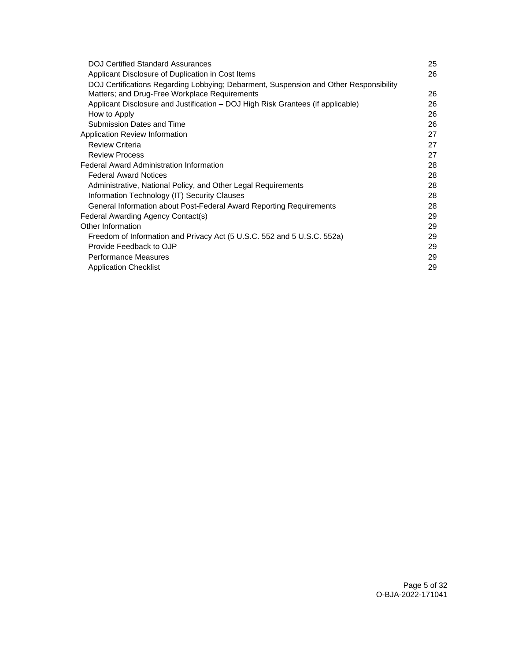| <b>DOJ Certified Standard Assurances</b>                                              | 25 |
|---------------------------------------------------------------------------------------|----|
| Applicant Disclosure of Duplication in Cost Items                                     | 26 |
| DOJ Certifications Regarding Lobbying; Debarment, Suspension and Other Responsibility |    |
| Matters; and Drug-Free Workplace Requirements                                         | 26 |
| Applicant Disclosure and Justification – DOJ High Risk Grantees (if applicable)       | 26 |
| How to Apply                                                                          | 26 |
| Submission Dates and Time                                                             | 26 |
| Application Review Information                                                        | 27 |
| <b>Review Criteria</b>                                                                | 27 |
| <b>Review Process</b>                                                                 | 27 |
| <b>Federal Award Administration Information</b>                                       | 28 |
| <b>Federal Award Notices</b>                                                          | 28 |
| Administrative, National Policy, and Other Legal Requirements                         | 28 |
| Information Technology (IT) Security Clauses                                          | 28 |
| General Information about Post-Federal Award Reporting Requirements                   | 28 |
| Federal Awarding Agency Contact(s)                                                    | 29 |
| Other Information                                                                     | 29 |
| Freedom of Information and Privacy Act (5 U.S.C. 552 and 5 U.S.C. 552a)               | 29 |
| Provide Feedback to OJP                                                               | 29 |
| <b>Performance Measures</b>                                                           | 29 |
| <b>Application Checklist</b>                                                          | 29 |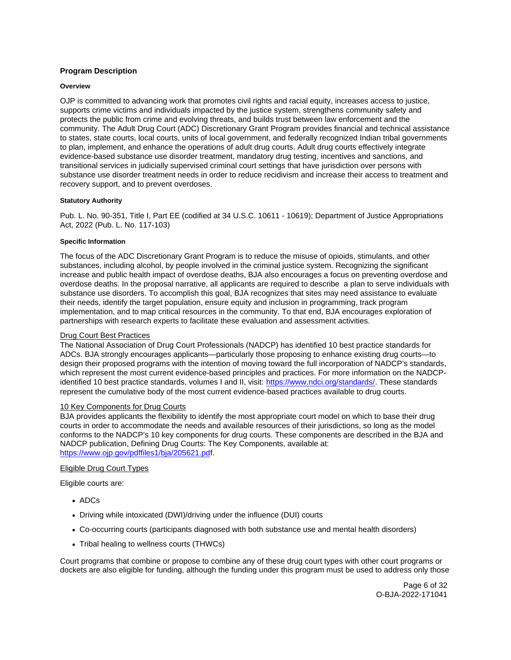# <span id="page-5-0"></span>**Program Description**

### **Overview**

OJP is committed to advancing work that promotes civil rights and racial equity, increases access to justice, supports crime victims and individuals impacted by the justice system, strengthens community safety and protects the public from crime and evolving threats, and builds trust between law enforcement and the community. The Adult Drug Court (ADC) Discretionary Grant Program provides financial and technical assistance to states, state courts, local courts, units of local government, and federally recognized Indian tribal governments to plan, implement, and enhance the operations of adult drug courts. Adult drug courts effectively integrate evidence-based substance use disorder treatment, mandatory drug testing, incentives and sanctions, and transitional services in judicially supervised criminal court settings that have jurisdiction over persons with substance use disorder treatment needs in order to reduce recidivism and increase their access to treatment and recovery support, and to prevent overdoses.

### **Statutory Authority**

Pub. L. No. 90-351, Title I, Part EE (codified at 34 U.S.C. 10611 - 10619); Department of Justice Appropriations Act, 2022 (Pub. L. No. 117-103)

### **Specific Information**

The focus of the ADC Discretionary Grant Program is to reduce the misuse of opioids, stimulants, and other substances, including alcohol, by people involved in the criminal justice system. Recognizing the significant increase and public health impact of overdose deaths, BJA also encourages a focus on preventing overdose and overdose deaths. In the proposal narrative, all applicants are required to describe a plan to serve individuals with substance use disorders. To accomplish this goal, BJA recognizes that sites may need assistance to evaluate their needs, identify the target population, ensure equity and inclusion in programming, track program implementation, and to map critical resources in the community. To that end, BJA encourages exploration of partnerships with research experts to facilitate these evaluation and assessment activities.

### Drug Court Best Practices

The National Association of Drug Court Professionals (NADCP) has identified 10 best practice standards for ADCs. BJA strongly encourages applicants—particularly those proposing to enhance existing drug courts—to design their proposed programs with the intention of moving toward the full incorporation of NADCP's standards, which represent the most current evidence-based principles and practices. For more information on the NADCPidentified 10 best practice standards, volumes I and II, visit: [https://www.ndci.org/standards/.](https://www.ndci.org/standards/) These standards represent the cumulative body of the most current evidence-based practices available to drug courts.

### 10 Key Components for Drug Courts

BJA provides applicants the flexibility to identify the most appropriate court model on which to base their drug courts in order to accommodate the needs and available resources of their jurisdictions, so long as the model conforms to the NADCP's 10 key components for drug courts. These components are described in the BJA and NADCP publication, Defining Drug Courts: The Key Components, available at: <https://www.ojp.gov/pdffiles1/bja/205621.pdf>.

### Eligible Drug Court Types

Eligible courts are:

- ADCs
- Driving while intoxicated (DWI)/driving under the influence (DUI) courts
- Co-occurring courts (participants diagnosed with both substance use and mental health disorders)
- Tribal healing to wellness courts (THWCs)

Court programs that combine or propose to combine any of these drug court types with other court programs or dockets are also eligible for funding, although the funding under this program must be used to address only those

> Page 6 of 32 O-BJA-2022-171041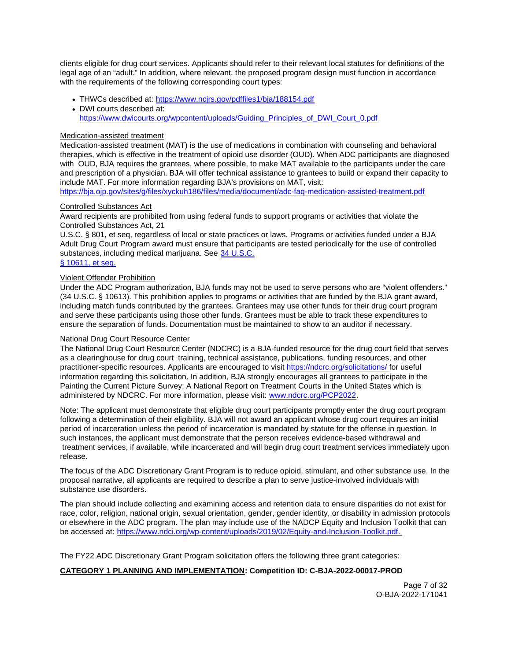clients eligible for drug court services. Applicants should refer to their relevant local statutes for definitions of the legal age of an "adult." In addition, where relevant, the proposed program design must function in accordance with the requirements of the following corresponding court types:

- THWCs described at: https://www.ncirs.gov/pdffiles1/bia/188154.pdf
- DWI courts described at: https://www.dwicourts.org/wpcontent/uploads/Guiding\_Principles\_of\_DWI\_Court\_0.pdf

### Medication-assisted treatment

Medication-assisted treatment (MAT) is the use of medications in combination with counseling and behavioral therapies, which is effective in the treatment of opioid use disorder (OUD). When ADC participants are diagnosed with OUD, BJA requires the grantees, where possible, to make MAT available to the participants under the care and prescription of a physician. BJA will offer technical assistance to grantees to build or expand their capacity to include MAT. For more information regarding BJA's provisions on MAT, visit:

<https://bja.ojp.gov/sites/g/files/xyckuh186/files/media/document/adc-faq-medication-assisted-treatment.pdf>

### Controlled Substances Act

Award recipients are prohibited from using federal funds to support programs or activities that violate the Controlled Substances Act, 21

U.S.C. § 801, et seq, regardless of local or state practices or laws. Programs or activities funded under a BJA Adult Drug Court Program award must ensure that participants are tested periodically for the use of controlled substances, including medical marijuana. See [34 U.S.C.](https://www.law.cornell.edu/uscode/text/34/10611) 

# [§ 10611, et seq.](https://www.law.cornell.edu/uscode/text/34/10611)

# Violent Offender Prohibition

Under the ADC Program authorization, BJA funds may not be used to serve persons who are "violent offenders." (34 U.S.C. § 10613). This prohibition applies to programs or activities that are funded by the BJA grant award, including match funds contributed by the grantees. Grantees may use other funds for their drug court program and serve these participants using those other funds. Grantees must be able to track these expenditures to ensure the separation of funds. Documentation must be maintained to show to an auditor if necessary.

# National Drug Court Resource Center

The National Drug Court Resource Center (NDCRC) is a BJA-funded resource for the drug court field that serves as a clearinghouse for drug court training, technical assistance, publications, funding resources, and other practitioner-specific resources. Applicants are encouraged to visit [https://ndcrc.org/solicitations/ f](https://ndcrc.org/solicitations/)or useful information regarding this solicitation. In addition, BJA strongly encourages all grantees to participate in the Painting the Current Picture Survey: A National Report on Treatment Courts in the United States which is administered by NDCRC. For more information, please visit: [www.ndcrc.org/PCP2022.](www.ndcrc.org/PCP2022)

Note: The applicant must demonstrate that eligible drug court participants promptly enter the drug court program following a determination of their eligibility. BJA will not award an applicant whose drug court requires an initial period of incarceration unless the period of incarceration is mandated by statute for the offense in question. In such instances, the applicant must demonstrate that the person receives evidence-based withdrawal and treatment services, if available, while incarcerated and will begin drug court treatment services immediately upon release.

The focus of the ADC Discretionary Grant Program is to reduce opioid, stimulant, and other substance use. In the proposal narrative, all applicants are required to describe a plan to serve justice-involved individuals with substance use disorders.

The plan should include collecting and examining access and retention data to ensure disparities do not exist for race, color, religion, national origin, sexual orientation, gender, gender identity, or disability in admission protocols or elsewhere in the ADC program. The plan may include use of the NADCP Equity and Inclusion Toolkit that can be accessed at: [https://www.ndci.org/wp-content/uploads/2019/02/Equity-and-Inclusion-Toolkit.pdf.](https://www.ndci.org/wp-content/uploads/2019/02/Equity-and-Inclusion-Toolkit.pdf) 

The FY22 ADC Discretionary Grant Program solicitation offers the following three grant categories:

# **CATEGORY 1 PLANNING AND IMPLEMENTATION: Competition ID: C-BJA-2022-00017-PROD**

Page 7 of 32 O-BJA-2022-171041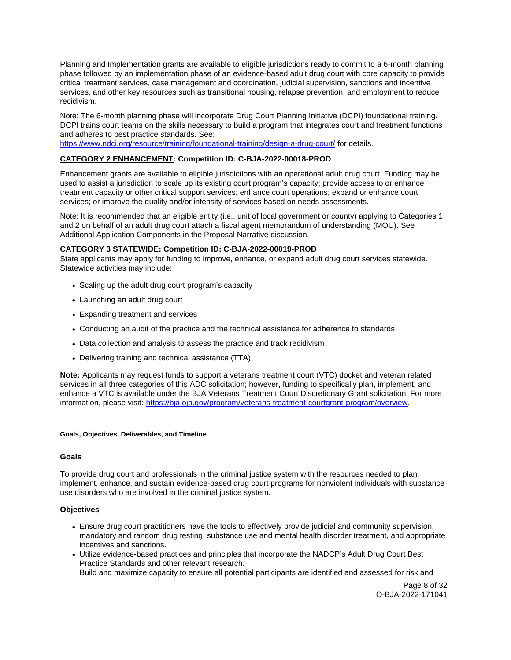<span id="page-7-0"></span>Planning and Implementation grants are available to eligible jurisdictions ready to commit to a 6-month planning phase followed by an implementation phase of an evidence-based adult drug court with core capacity to provide critical treatment services, case management and coordination, judicial supervision, sanctions and incentive services, and other key resources such as transitional housing, relapse prevention, and employment to reduce recidivism.

Note: The 6-month planning phase will incorporate Drug Court Planning Initiative (DCPI) foundational training. DCPI trains court teams on the skills necessary to build a program that integrates court and treatment functions and adheres to best practice standards. See:

<https://www.ndci.org/resource/training/foundational-training/design-a-drug-court/>for details.

# **CATEGORY 2 ENHANCEMENT: Competition ID: C-BJA-2022-00018-PROD**

Enhancement grants are available to eligible jurisdictions with an operational adult drug court. Funding may be used to assist a jurisdiction to scale up its existing court program's capacity; provide access to or enhance treatment capacity or other critical support services; enhance court operations; expand or enhance court services; or improve the quality and/or intensity of services based on needs assessments.

Note: It is recommended that an eligible entity (i.e., unit of local government or county) applying to Categories 1 and 2 on behalf of an adult drug court attach a fiscal agent memorandum of understanding (MOU). See Additional Application Components in the Proposal Narrative discussion.

### **CATEGORY 3 STATEWIDE: Competition ID: C-BJA-2022-00019-PROD**

State applicants may apply for funding to improve, enhance, or expand adult drug court services statewide. Statewide activities may include:

- Scaling up the adult drug court program's capacity
- Launching an adult drug court
- Expanding treatment and services
- Conducting an audit of the practice and the technical assistance for adherence to standards
- Data collection and analysis to assess the practice and track recidivism
- Delivering training and technical assistance (TTA)

**Note:** Applicants may request funds to support a veterans treatment court (VTC) docket and veteran related services in all three categories of this ADC solicitation; however, funding to specifically plan, implement, and enhance a VTC is available under the BJA Veterans Treatment Court Discretionary Grant solicitation. For more information, please visit: [https://bja.ojp.gov/program/veterans-treatment-courtgrant-program/overview.](https://bja.ojp.gov/program/veterans-treatment-court-grant-program/overview)

### **Goals, Objectives, Deliverables, and Timeline**

### **Goals**

To provide drug court and professionals in the criminal justice system with the resources needed to plan, implement, enhance, and sustain evidence-based drug court programs for nonviolent individuals with substance use disorders who are involved in the criminal justice system.

### **Objectives**

- Ensure drug court practitioners have the tools to effectively provide judicial and community supervision, mandatory and random drug testing, substance use and mental health disorder treatment, and appropriate incentives and sanctions.
- Utilize evidence-based practices and principles that incorporate the NADCP's Adult Drug Court Best Practice Standards and other relevant research.

Build and maximize capacity to ensure all potential participants are identified and assessed for risk and

Page 8 of 32 O-BJA-2022-171041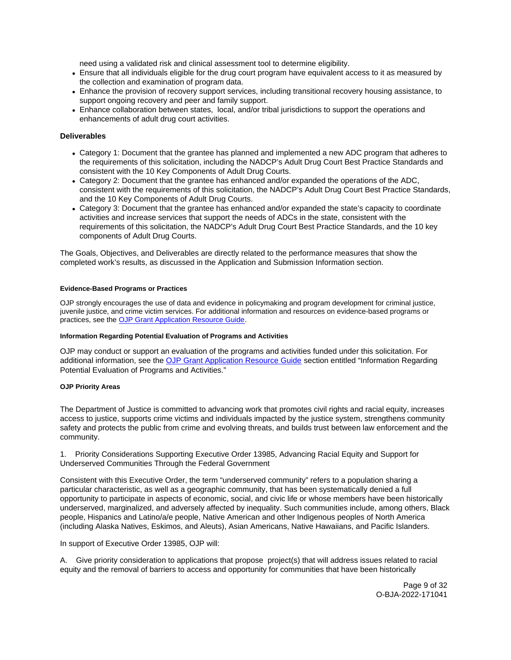<span id="page-8-0"></span>need using a validated risk and clinical assessment tool to determine eligibility.

- Ensure that all individuals eligible for the drug court program have equivalent access to it as measured by the collection and examination of program data.
- Enhance the provision of recovery support services, including transitional recovery housing assistance, to support ongoing recovery and peer and family support.
- Enhance collaboration between states, local, and/or tribal jurisdictions to support the operations and enhancements of adult drug court activities.

### **Deliverables**

- Category 1: Document that the grantee has planned and implemented a new ADC program that adheres to the requirements of this solicitation, including the NADCP's Adult Drug Court Best Practice Standards and consistent with the 10 Key Components of Adult Drug Courts.
- Category 2: Document that the grantee has enhanced and/or expanded the operations of the ADC, consistent with the requirements of this solicitation, the NADCP's Adult Drug Court Best Practice Standards, and the 10 Key Components of Adult Drug Courts.
- Category 3: Document that the grantee has enhanced and/or expanded the state's capacity to coordinate activities and increase services that support the needs of ADCs in the state, consistent with the requirements of this solicitation, the NADCP's Adult Drug Court Best Practice Standards, and the 10 key components of Adult Drug Courts.

The Goals, Objectives, and Deliverables are directly related to the performance measures that show the completed work's results, as discussed in the Application and Submission Information section.

### **Evidence-Based Programs or Practices**

OJP strongly encourages the use of data and evidence in policymaking and program development for criminal justice, juvenile justice, and crime victim services. For additional information and resources on evidence-based programs or practices, see the [OJP Grant Application Resource Guide.](https://www.ojp.gov/funding/apply/ojp-grant-application-resource-guide#evidence-based)

### **Information Regarding Potential Evaluation of Programs and Activities**

OJP may conduct or support an evaluation of the programs and activities funded under this solicitation. For additional information, see the [OJP Grant Application Resource Guide](https://www.ojp.gov/funding/apply/ojp-grant-application-resource-guide#potential-evaluation) section entitled "Information Regarding Potential Evaluation of Programs and Activities."

### **OJP Priority Areas**

The Department of Justice is committed to advancing work that promotes civil rights and racial equity, increases access to justice, supports crime victims and individuals impacted by the justice system, strengthens community safety and protects the public from crime and evolving threats, and builds trust between law enforcement and the community.

1. Priority Considerations Supporting Executive Order 13985, Advancing Racial Equity and Support for Underserved Communities Through the Federal Government

Consistent with this Executive Order, the term "underserved community" refers to a population sharing a particular characteristic, as well as a geographic community, that has been systematically denied a full opportunity to participate in aspects of economic, social, and civic life or whose members have been historically underserved, marginalized, and adversely affected by inequality. Such communities include, among others, Black people, Hispanics and Latino/a/e people, Native American and other Indigenous peoples of North America (including Alaska Natives, Eskimos, and Aleuts), Asian Americans, Native Hawaiians, and Pacific Islanders.

### In support of Executive Order 13985, OJP will:

A. Give priority consideration to applications that propose project(s) that will address issues related to racial equity and the removal of barriers to access and opportunity for communities that have been historically

> Page 9 of 32 O-BJA-2022-171041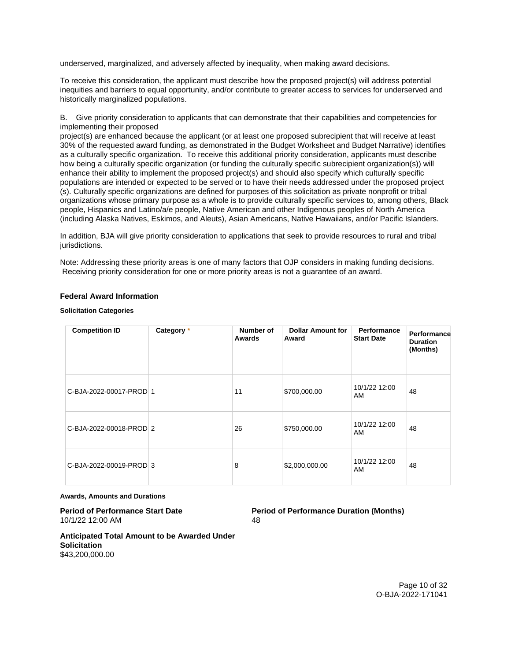<span id="page-9-0"></span>underserved, marginalized, and adversely affected by inequality, when making award decisions.

To receive this consideration, the applicant must describe how the proposed project(s) will address potential inequities and barriers to equal opportunity, and/or contribute to greater access to services for underserved and historically marginalized populations.

B. Give priority consideration to applicants that can demonstrate that their capabilities and competencies for implementing their proposed

project(s) are enhanced because the applicant (or at least one proposed subrecipient that will receive at least 30% of the requested award funding, as demonstrated in the Budget Worksheet and Budget Narrative) identifies as a culturally specific organization. To receive this additional priority consideration, applicants must describe how being a culturally specific organization (or funding the culturally specific subrecipient organization(s)) will enhance their ability to implement the proposed project(s) and should also specify which culturally specific populations are intended or expected to be served or to have their needs addressed under the proposed project (s). Culturally specific organizations are defined for purposes of this solicitation as private nonprofit or tribal organizations whose primary purpose as a whole is to provide culturally specific services to, among others, Black people, Hispanics and Latino/a/e people, Native American and other Indigenous peoples of North America (including Alaska Natives, Eskimos, and Aleuts), Asian Americans, Native Hawaiians, and/or Pacific Islanders.

In addition, BJA will give priority consideration to applications that seek to provide resources to rural and tribal jurisdictions.

Note: Addressing these priority areas is one of many factors that OJP considers in making funding decisions. Receiving priority consideration for one or more priority areas is not a guarantee of an award.

### **Federal Award Information**

### **Solicitation Categories**

| <b>Competition ID</b>   | Category * | Number of<br>Awards | <b>Dollar Amount for</b><br>Award | Performance<br><b>Start Date</b> | Performance<br><b>Duration</b><br>(Months) |
|-------------------------|------------|---------------------|-----------------------------------|----------------------------------|--------------------------------------------|
| C-BJA-2022-00017-PROD 1 |            | 11                  | \$700,000.00                      | 10/1/22 12:00<br>AM              | 48                                         |
| C-BJA-2022-00018-PROD 2 |            | 26                  | \$750,000.00                      | 10/1/22 12:00<br>AM              | 48                                         |
| C-BJA-2022-00019-PROD 3 |            | 8                   | \$2,000,000.00                    | 10/1/22 12:00<br>AM              | 48                                         |

#### **Awards, Amounts and Durations**

10/1/22 12:00 AM 48

**Period of Performance Start Date**  Period of Performance Duration (Months)

**Anticipated Total Amount to be Awarded Under Solicitation**  \$43,200,000.00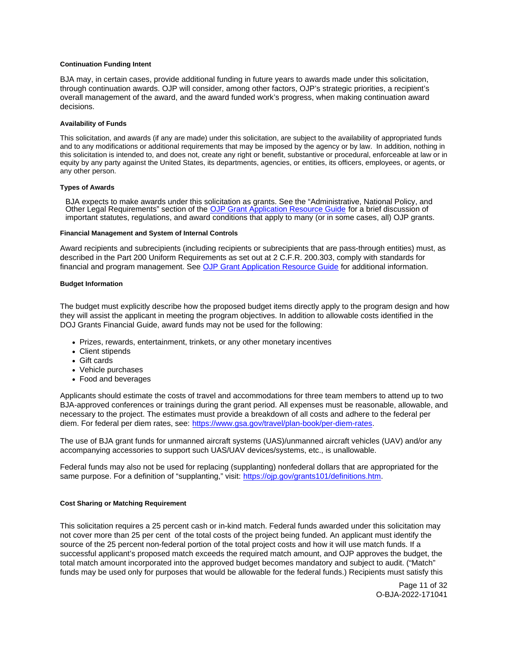### <span id="page-10-0"></span>**Continuation Funding Intent**

BJA may, in certain cases, provide additional funding in future years to awards made under this solicitation, through continuation awards. OJP will consider, among other factors, OJP's strategic priorities, a recipient's overall management of the award, and the award funded work's progress, when making continuation award decisions.

#### **Availability of Funds**

This solicitation, and awards (if any are made) under this solicitation, are subject to the availability of appropriated funds and to any modifications or additional requirements that may be imposed by the agency or by law. In addition, nothing in this solicitation is intended to, and does not, create any right or benefit, substantive or procedural, enforceable at law or in equity by any party against the United States, its departments, agencies, or entities, its officers, employees, or agents, or any other person.

### **Types of Awards**

BJA expects to make awards under this solicitation as grants. See the "Administrative, National Policy, and Other Legal Requirements" section of the [OJP Grant Application Resource Guide](https://www.ojp.gov/funding/apply/ojp-grant-application-resource-guide#administrative) for a brief discussion of important statutes, regulations, and award conditions that apply to many (or in some cases, all) OJP grants.

#### **Financial Management and System of Internal Controls**

Award recipients and subrecipients (including recipients or subrecipients that are pass-through entities) must, as described in the Part 200 Uniform Requirements as set out at 2 C.F.R. 200.303, comply with standards for financial and program management. See [OJP Grant Application Resource Guide](https://www.ojp.gov/funding/apply/ojp-grant-application-resource-guide#fm-internal-controls) for additional information.

#### **Budget Information**

The budget must explicitly describe how the proposed budget items directly apply to the program design and how they will assist the applicant in meeting the program objectives. In addition to allowable costs identified in the DOJ Grants Financial Guide, award funds may not be used for the following:

- Prizes, rewards, entertainment, trinkets, or any other monetary incentives
- Client stipends
- Gift cards
- Vehicle purchases
- Food and beverages

Applicants should estimate the costs of travel and accommodations for three team members to attend up to two BJA-approved conferences or trainings during the grant period. All expenses must be reasonable, allowable, and necessary to the project. The estimates must provide a breakdown of all costs and adhere to the federal per diem. For federal per diem rates, see: [https://www.gsa.gov/travel/plan-book/per-diem-rates.](https://www.gsa.gov/travel/plan-book/per-diem-rates)

The use of BJA grant funds for unmanned aircraft systems (UAS)/unmanned aircraft vehicles (UAV) and/or any accompanying accessories to support such UAS/UAV devices/systems, etc., is unallowable.

Federal funds may also not be used for replacing (supplanting) nonfederal dollars that are appropriated for the same purpose. For a definition of "supplanting," visit: [https://ojp.gov/grants101/definitions.htm.](https://www.ojp.gov/funding/grants101/definitions)

### **Cost Sharing or Matching Requirement**

This solicitation requires a 25 percent cash or in-kind match. Federal funds awarded under this solicitation may not cover more than 25 per cent of the total costs of the project being funded. An applicant must identify the source of the 25 percent non-federal portion of the total project costs and how it will use match funds. If a successful applicant's proposed match exceeds the required match amount, and OJP approves the budget, the total match amount incorporated into the approved budget becomes mandatory and subject to audit. ("Match" funds may be used only for purposes that would be allowable for the federal funds.) Recipients must satisfy this

> Page 11 of 32 O-BJA-2022-171041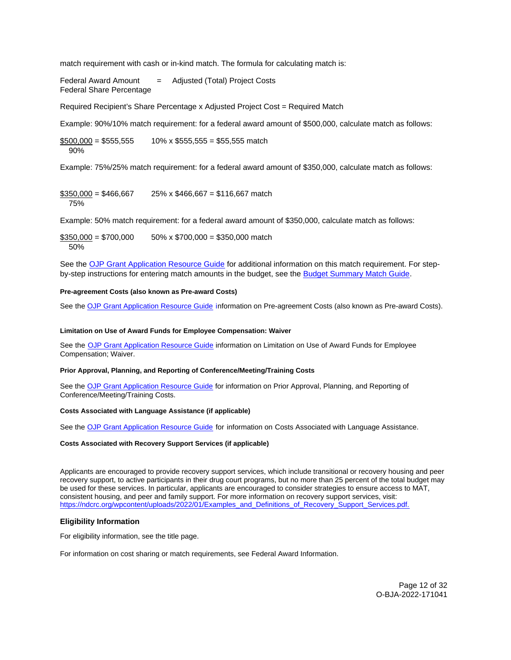<span id="page-11-0"></span>match requirement with cash or in-kind match. The formula for calculating match is:

 $Federal Award Amount = Adjusted (Total) Project Costs$ Federal Share Percentage

Required Recipient's Share Percentage x Adjusted Project Cost = Required Match

Example: 90%/10% match requirement: for a federal award amount of \$500,000, calculate match as follows:

 $$500,000 = $555,555$  10% x \$555,555 = \$55,555 match 90%

Example: 75%/25% match requirement: for a federal award amount of \$350,000, calculate match as follows:

 $$350,000 = $466,667$  25% x \$466,667 = \$116,667 match 75%

Example: 50% match requirement: for a federal award amount of \$350,000, calculate match as follows:

 $$350,000 = $700,000$  50% x \$700,000 = \$350,000 match 50%

See the [OJP Grant Application Resource Guide](https://www.ojp.gov/funding/apply/ojp-grant-application-resource-guide#cost-sharing) for additional information on this match requirement. For stepby-step instructions for entering match amounts in the budget, see the [Budget Summary Match Guide.](https://justicegrants.usdoj.gov/sites/g/files/xyckuh296/files/media/document/budget-summary-match-guide.pdf)

#### **Pre-agreement Costs (also known as Pre-award Costs)**

See the [OJP Grant Application Resource Guide](https://www.ojp.gov/funding/apply/ojp-grant-application-resource-guide#pre-agreement-costs) information on Pre-agreement Costs (also known as Pre-award Costs).

#### **Limitation on Use of Award Funds for Employee Compensation: Waiver**

See the [OJP Grant Application Resource Guide](https://www.ojp.gov/funding/apply/ojp-grant-application-resource-guide#limitation-use-award) information on Limitation on Use of Award Funds for Employee Compensation; Waiver.

### **Prior Approval, Planning, and Reporting of Conference/Meeting/Training Costs**

See the [OJP Grant Application Resource Guide](https://www.ojp.gov/funding/apply/ojp-grant-application-resource-guide#prior-approval) for information on Prior Approval, Planning, and Reporting of Conference/Meeting/Training Costs.

### **Costs Associated with Language Assistance (if applicable)**

See the [OJP Grant Application Resource Guide](https://www.ojp.gov/funding/apply/ojp-grant-application-resource-guide#costs-associated) for information on Costs Associated with Language Assistance.

### **Costs Associated with Recovery Support Services (if applicable)**

Applicants are encouraged to provide recovery support services, which include transitional or recovery housing and peer recovery support, to active participants in their drug court programs, but no more than 25 percent of the total budget may be used for these services. In particular, applicants are encouraged to consider strategies to ensure access to MAT, consistent housing, and peer and family support. For more information on recovery support services, visit: [https://ndcrc.org/wpcontent/uploads/2022/01/Examples\\_and\\_Definitions\\_of\\_Recovery\\_Support\\_Services.pdf.](https://ndcrc.org/wp-content/uploads/2022/01/Examples_and_Definitions_of_Recovery_Support_Services.pdf) 

### **Eligibility Information**

For eligibility information, see the title page.

For information on cost sharing or match requirements, see Federal Award Information.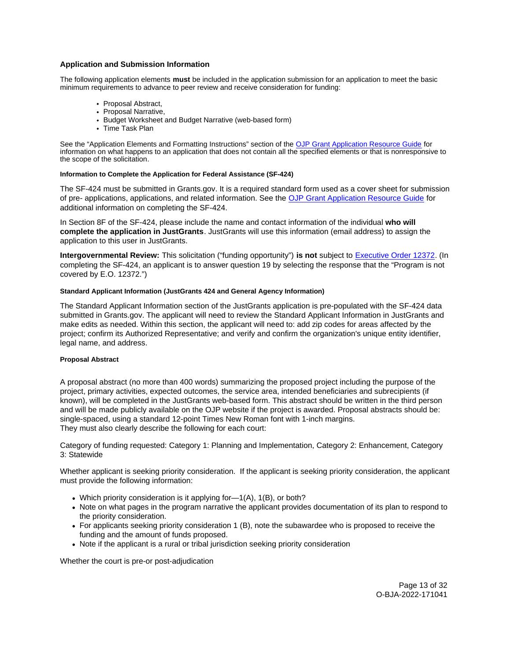### <span id="page-12-0"></span>**Application and Submission Information**

The following application elements **must** be included in the application submission for an application to meet the basic minimum requirements to advance to peer review and receive consideration for funding:

- Proposal Abstract.
- Proposal Narrative,
- Budget Worksheet and Budget Narrative (web-based form)
- Time Task Plan

See the "Application Elements and Formatting Instructions" section of the [OJP Grant Application Resource Guide](https://www.ojp.gov/funding/apply/ojp-grant-application-resource-guide#application-elements) for information on what happens to an application that does not contain all the specified elements or that is nonresponsive to the scope of the solicitation.

### **Information to Complete the Application for Federal Assistance (SF-424)**

The SF-424 must be submitted in [Grants.gov](https://Grants.gov). It is a required standard form used as a cover sheet for submission of pre- applications, applications, and related information. See the [OJP Grant Application Resource Guide](https://www.ojp.gov/funding/apply/ojp-grant-application-resource-guide#complete-application) for additional information on completing the SF-424.

In Section 8F of the SF-424, please include the name and contact information of the individual **who will complete the application in JustGrants**. JustGrants will use this information (email address) to assign the application to this user in JustGrants.

**Intergovernmental Review:** This solicitation ("funding opportunity") **is not** subject to [Executive Order 12372.](https://www.archives.gov/federal-register/codification/executive-order/12372.html) (In completing the SF-424, an applicant is to answer question 19 by selecting the response that the "Program is not covered by E.O. 12372.")

### **Standard Applicant Information (JustGrants 424 and General Agency Information)**

The Standard Applicant Information section of the JustGrants application is pre-populated with the SF-424 data submitted in [Grants.gov.](https://Grants.gov) The applicant will need to review the Standard Applicant Information in JustGrants and make edits as needed. Within this section, the applicant will need to: add zip codes for areas affected by the project; confirm its Authorized Representative; and verify and confirm the organization's unique entity identifier, legal name, and address.

### **Proposal Abstract**

A proposal abstract (no more than 400 words) summarizing the proposed project including the purpose of the project, primary activities, expected outcomes, the service area, intended beneficiaries and subrecipients (if known), will be completed in the JustGrants web-based form. This abstract should be written in the third person and will be made publicly available on the OJP website if the project is awarded. Proposal abstracts should be: single-spaced, using a standard 12-point Times New Roman font with 1-inch margins. They must also clearly describe the following for each court:

Category of funding requested: Category 1: Planning and Implementation, Category 2: Enhancement, Category 3: Statewide

Whether applicant is seeking priority consideration. If the applicant is seeking priority consideration, the applicant must provide the following information:

- Which priority consideration is it applying for—1(A), 1(B), or both?
- Note on what pages in the program narrative the applicant provides documentation of its plan to respond to the priority consideration.
- For applicants seeking priority consideration 1 (B), note the subawardee who is proposed to receive the funding and the amount of funds proposed.
- Note if the applicant is a rural or tribal jurisdiction seeking priority consideration

Whether the court is pre-or post-adjudication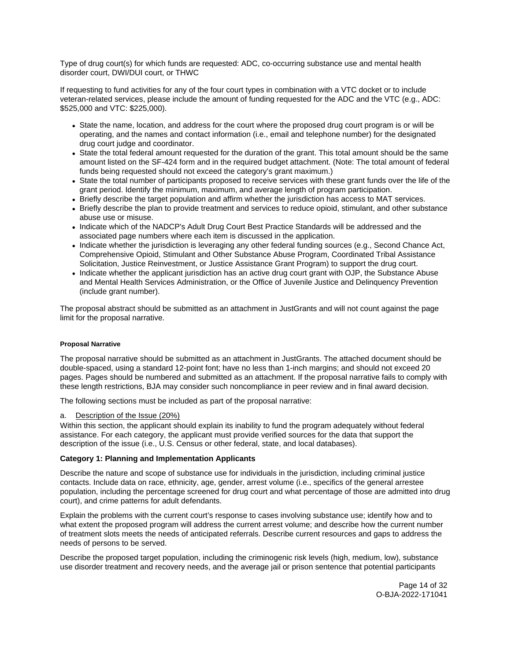<span id="page-13-0"></span>Type of drug court(s) for which funds are requested: ADC, co-occurring substance use and mental health disorder court, DWI/DUI court, or THWC

If requesting to fund activities for any of the four court types in combination with a VTC docket or to include veteran-related services, please include the amount of funding requested for the ADC and the VTC (e.g., ADC: \$525,000 and VTC: \$225,000).

- State the name, location, and address for the court where the proposed drug court program is or will be operating, and the names and contact information (i.e., email and telephone number) for the designated drug court judge and coordinator.
- State the total federal amount requested for the duration of the grant. This total amount should be the same amount listed on the SF-424 form and in the required budget attachment. (Note: The total amount of federal funds being requested should not exceed the category's grant maximum.)
- State the total number of participants proposed to receive services with these grant funds over the life of the grant period. Identify the minimum, maximum, and average length of program participation.
- Briefly describe the target population and affirm whether the jurisdiction has access to MAT services.
- Briefly describe the plan to provide treatment and services to reduce opioid, stimulant, and other substance abuse use or misuse.
- Indicate which of the NADCP's Adult Drug Court Best Practice Standards will be addressed and the associated page numbers where each item is discussed in the application.
- Indicate whether the jurisdiction is leveraging any other federal funding sources (e.g., Second Chance Act, Comprehensive Opioid, Stimulant and Other Substance Abuse Program, Coordinated Tribal Assistance Solicitation, Justice Reinvestment, or Justice Assistance Grant Program) to support the drug court.
- Indicate whether the applicant jurisdiction has an active drug court grant with OJP, the Substance Abuse and Mental Health Services Administration, or the Office of Juvenile Justice and Delinquency Prevention (include grant number).

The proposal abstract should be submitted as an attachment in JustGrants and will not count against the page limit for the proposal narrative.

### **Proposal Narrative**

The proposal narrative should be submitted as an attachment in JustGrants. The attached document should be double-spaced, using a standard 12-point font; have no less than 1-inch margins; and should not exceed 20 pages. Pages should be numbered and submitted as an attachment. If the proposal narrative fails to comply with these length restrictions, BJA may consider such noncompliance in peer review and in final award decision.

The following sections must be included as part of the proposal narrative:

# a. Description of the Issue (20%)

Within this section, the applicant should explain its inability to fund the program adequately without federal assistance. For each category, the applicant must provide verified sources for the data that support the description of the issue (i.e., U.S. Census or other federal, state, and local databases).

# **Category 1: Planning and Implementation Applicants**

Describe the nature and scope of substance use for individuals in the jurisdiction, including criminal justice contacts. Include data on race, ethnicity, age, gender, arrest volume (i.e., specifics of the general arrestee population, including the percentage screened for drug court and what percentage of those are admitted into drug court), and crime patterns for adult defendants.

Explain the problems with the current court's response to cases involving substance use; identify how and to what extent the proposed program will address the current arrest volume; and describe how the current number of treatment slots meets the needs of anticipated referrals. Describe current resources and gaps to address the needs of persons to be served.

Describe the proposed target population, including the criminogenic risk levels (high, medium, low), substance use disorder treatment and recovery needs, and the average jail or prison sentence that potential participants

> Page 14 of 32 O-BJA-2022-171041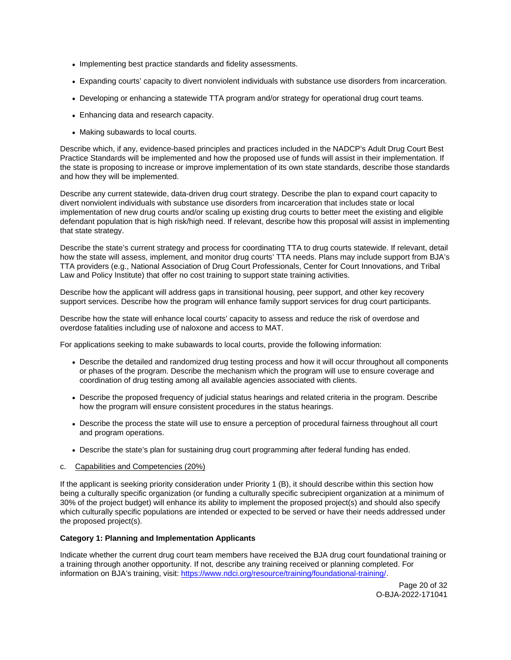- Implementing best practice standards and fidelity assessments.
- Expanding courts' capacity to divert nonviolent individuals with substance use disorders from incarceration.
- Developing or enhancing a statewide TTA program and/or strategy for operational drug court teams.
- Enhancing data and research capacity.
- Making subawards to local courts.

Describe which, if any, evidence-based principles and practices included in the NADCP's Adult Drug Court Best Practice Standards will be implemented and how the proposed use of funds will assist in their implementation. If the state is proposing to increase or improve implementation of its own state standards, describe those standards and how they will be implemented.

Describe any current statewide, data-driven drug court strategy. Describe the plan to expand court capacity to divert nonviolent individuals with substance use disorders from incarceration that includes state or local implementation of new drug courts and/or scaling up existing drug courts to better meet the existing and eligible defendant population that is high risk/high need. If relevant, describe how this proposal will assist in implementing that state strategy.

Describe the state's current strategy and process for coordinating TTA to drug courts statewide. If relevant, detail how the state will assess, implement, and monitor drug courts' TTA needs. Plans may include support from BJA's TTA providers (e.g., National Association of Drug Court Professionals, Center for Court Innovations, and Tribal Law and Policy Institute) that offer no cost training to support state training activities.

Describe how the applicant will address gaps in transitional housing, peer support, and other key recovery support services. Describe how the program will enhance family support services for drug court participants.

Describe how the state will enhance local courts' capacity to assess and reduce the risk of overdose and overdose fatalities including use of naloxone and access to MAT.

For applications seeking to make subawards to local courts, provide the following information:

- Describe the detailed and randomized drug testing process and how it will occur throughout all components or phases of the program. Describe the mechanism which the program will use to ensure coverage and coordination of drug testing among all available agencies associated with clients.
- Describe the proposed frequency of judicial status hearings and related criteria in the program. Describe how the program will ensure consistent procedures in the status hearings.
- Describe the process the state will use to ensure a perception of procedural fairness throughout all court and program operations.
- Describe the state's plan for sustaining drug court programming after federal funding has ended.
- c. Capabilities and Competencies (20%)

If the applicant is seeking priority consideration under Priority 1 (B), it should describe within this section how being a culturally specific organization (or funding a culturally specific subrecipient organization at a minimum of 30% of the project budget) will enhance its ability to implement the proposed project(s) and should also specify which culturally specific populations are intended or expected to be served or have their needs addressed under the proposed project(s).

### **Category 1: Planning and Implementation Applicants**

Indicate whether the current drug court team members have received the BJA drug court foundational training or a training through another opportunity. If not, describe any training received or planning completed. For information on BJA's training, visit: [https://www.ndci.org/resource/training/foundational-training/.](https://www.ndci.org/resource/training/foundational-training/)

> Page 20 of 32 O-BJA-2022-171041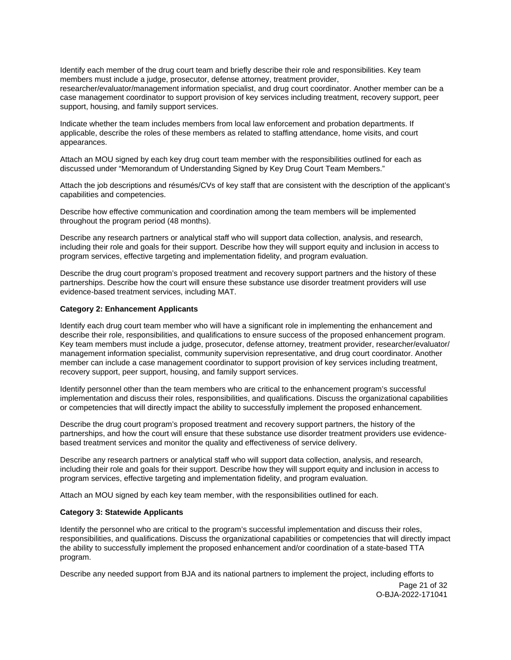Identify each member of the drug court team and briefly describe their role and responsibilities. Key team members must include a judge, prosecutor, defense attorney, treatment provider, researcher/evaluator/management information specialist, and drug court coordinator. Another member can be a case management coordinator to support provision of key services including treatment, recovery support, peer support, housing, and family support services.

Indicate whether the team includes members from local law enforcement and probation departments. If applicable, describe the roles of these members as related to staffing attendance, home visits, and court appearances.

Attach an MOU signed by each key drug court team member with the responsibilities outlined for each as discussed under "Memorandum of Understanding Signed by Key Drug Court Team Members."

Attach the job descriptions and résumés/CVs of key staff that are consistent with the description of the applicant's capabilities and competencies.

Describe how effective communication and coordination among the team members will be implemented throughout the program period (48 months).

Describe any research partners or analytical staff who will support data collection, analysis, and research, including their role and goals for their support. Describe how they will support equity and inclusion in access to program services, effective targeting and implementation fidelity, and program evaluation.

Describe the drug court program's proposed treatment and recovery support partners and the history of these partnerships. Describe how the court will ensure these substance use disorder treatment providers will use evidence-based treatment services, including MAT.

### **Category 2: Enhancement Applicants**

Identify each drug court team member who will have a significant role in implementing the enhancement and describe their role, responsibilities, and qualifications to ensure success of the proposed enhancement program. Key team members must include a judge, prosecutor, defense attorney, treatment provider, researcher/evaluator/ management information specialist, community supervision representative, and drug court coordinator. Another member can include a case management coordinator to support provision of key services including treatment, recovery support, peer support, housing, and family support services.

Identify personnel other than the team members who are critical to the enhancement program's successful implementation and discuss their roles, responsibilities, and qualifications. Discuss the organizational capabilities or competencies that will directly impact the ability to successfully implement the proposed enhancement.

Describe the drug court program's proposed treatment and recovery support partners, the history of the partnerships, and how the court will ensure that these substance use disorder treatment providers use evidencebased treatment services and monitor the quality and effectiveness of service delivery.

Describe any research partners or analytical staff who will support data collection, analysis, and research, including their role and goals for their support. Describe how they will support equity and inclusion in access to program services, effective targeting and implementation fidelity, and program evaluation.

Attach an MOU signed by each key team member, with the responsibilities outlined for each.

### **Category 3: Statewide Applicants**

Identify the personnel who are critical to the program's successful implementation and discuss their roles, responsibilities, and qualifications. Discuss the organizational capabilities or competencies that will directly impact the ability to successfully implement the proposed enhancement and/or coordination of a state-based TTA program.

Describe any needed support from BJA and its national partners to implement the project, including efforts to

Page 21 of 32 O-BJA-2022-171041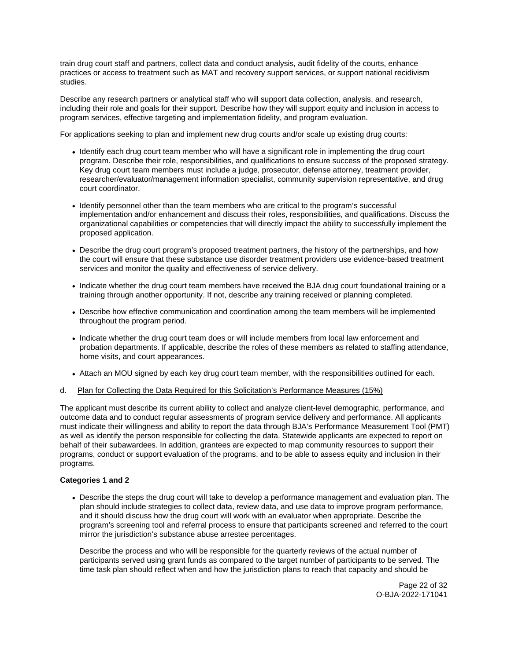train drug court staff and partners, collect data and conduct analysis, audit fidelity of the courts, enhance practices or access to treatment such as MAT and recovery support services, or support national recidivism studies.

Describe any research partners or analytical staff who will support data collection, analysis, and research, including their role and goals for their support. Describe how they will support equity and inclusion in access to program services, effective targeting and implementation fidelity, and program evaluation.

For applications seeking to plan and implement new drug courts and/or scale up existing drug courts:

- Identify each drug court team member who will have a significant role in implementing the drug court program. Describe their role, responsibilities, and qualifications to ensure success of the proposed strategy. Key drug court team members must include a judge, prosecutor, defense attorney, treatment provider, researcher/evaluator/management information specialist, community supervision representative, and drug court coordinator.
- Identify personnel other than the team members who are critical to the program's successful implementation and/or enhancement and discuss their roles, responsibilities, and qualifications. Discuss the organizational capabilities or competencies that will directly impact the ability to successfully implement the proposed application.
- Describe the drug court program's proposed treatment partners, the history of the partnerships, and how the court will ensure that these substance use disorder treatment providers use evidence-based treatment services and monitor the quality and effectiveness of service delivery.
- Indicate whether the drug court team members have received the BJA drug court foundational training or a training through another opportunity. If not, describe any training received or planning completed.
- Describe how effective communication and coordination among the team members will be implemented throughout the program period.
- Indicate whether the drug court team does or will include members from local law enforcement and probation departments. If applicable, describe the roles of these members as related to staffing attendance, home visits, and court appearances.
- Attach an MOU signed by each key drug court team member, with the responsibilities outlined for each.
- d. Plan for Collecting the Data Required for this Solicitation's Performance Measures (15%)

The applicant must describe its current ability to collect and analyze client-level demographic, performance, and outcome data and to conduct regular assessments of program service delivery and performance. All applicants must indicate their willingness and ability to report the data through BJA's Performance Measurement Tool (PMT) as well as identify the person responsible for collecting the data. Statewide applicants are expected to report on behalf of their subawardees. In addition, grantees are expected to map community resources to support their programs, conduct or support evaluation of the programs, and to be able to assess equity and inclusion in their programs.

### **Categories 1 and 2**

Describe the steps the drug court will take to develop a performance management and evaluation plan. The plan should include strategies to collect data, review data, and use data to improve program performance, and it should discuss how the drug court will work with an evaluator when appropriate. Describe the program's screening tool and referral process to ensure that participants screened and referred to the court mirror the jurisdiction's substance abuse arrestee percentages.

Describe the process and who will be responsible for the quarterly reviews of the actual number of participants served using grant funds as compared to the target number of participants to be served. The time task plan should reflect when and how the jurisdiction plans to reach that capacity and should be

> Page 22 of 32 O-BJA-2022-171041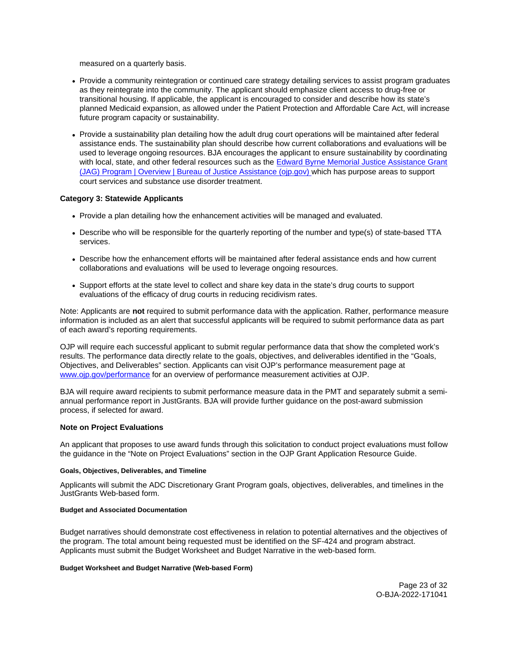<span id="page-22-0"></span>measured on a quarterly basis.

- Provide a community reintegration or continued care strategy detailing services to assist program graduates as they reintegrate into the community. The applicant should emphasize client access to drug-free or transitional housing. If applicable, the applicant is encouraged to consider and describe how its state's planned Medicaid expansion, as allowed under the Patient Protection and Affordable Care Act, will increase future program capacity or sustainability.
- Provide a sustainability plan detailing how the adult drug court operations will be maintained after federal assistance ends. The sustainability plan should describe how current collaborations and evaluations will be used to leverage ongoing resources. BJA encourages the applicant to ensure sustainability by coordinating with local, state, and other federal resources such as the Edward Byrne Memorial Justice Assistance Grant [\(JAG\) Program | Overview | Bureau of Justice Assistance \(ojp.gov\) w](https://bja.ojp.gov/program/jag/overview)hich has purpose areas to support court services and substance use disorder treatment.

### **Category 3: Statewide Applicants**

- Provide a plan detailing how the enhancement activities will be managed and evaluated.
- Describe who will be responsible for the quarterly reporting of the number and type(s) of state-based TTA services.
- Describe how the enhancement efforts will be maintained after federal assistance ends and how current collaborations and evaluations will be used to leverage ongoing resources.
- Support efforts at the state level to collect and share key data in the state's drug courts to support evaluations of the efficacy of drug courts in reducing recidivism rates.

Note: Applicants are **not** required to submit performance data with the application. Rather, performance measure information is included as an alert that successful applicants will be required to submit performance data as part of each award's reporting requirements.

OJP will require each successful applicant to submit regular performance data that show the completed work's results. The performance data directly relate to the goals, objectives, and deliverables identified in the "Goals, Objectives, and Deliverables" section. Applicants can visit OJP's performance measurement page at [www.ojp.gov/performance](https://www.ojp.gov/performance) for an overview of performance measurement activities at OJP.

BJA will require award recipients to submit performance measure data in the PMT and separately submit a semiannual performance report in JustGrants. BJA will provide further guidance on the post-award submission process, if selected for award.

### **Note on Project Evaluations**

An applicant that proposes to use award funds through this solicitation to conduct project evaluations must follow the guidance in the "Note on Project Evaluations" section in the OJP Grant Application Resource Guide.

### **Goals, Objectives, Deliverables, and Timeline**

Applicants will submit the ADC Discretionary Grant Program goals, objectives, deliverables, and timelines in the JustGrants Web-based form.

### **Budget and Associated Documentation**

Budget narratives should demonstrate cost effectiveness in relation to potential alternatives and the objectives of the program. The total amount being requested must be identified on the SF-424 and program abstract. Applicants must submit the Budget Worksheet and Budget Narrative in the web-based form.

### **Budget Worksheet and Budget Narrative (Web-based Form)**

Page 23 of 32 O-BJA-2022-171041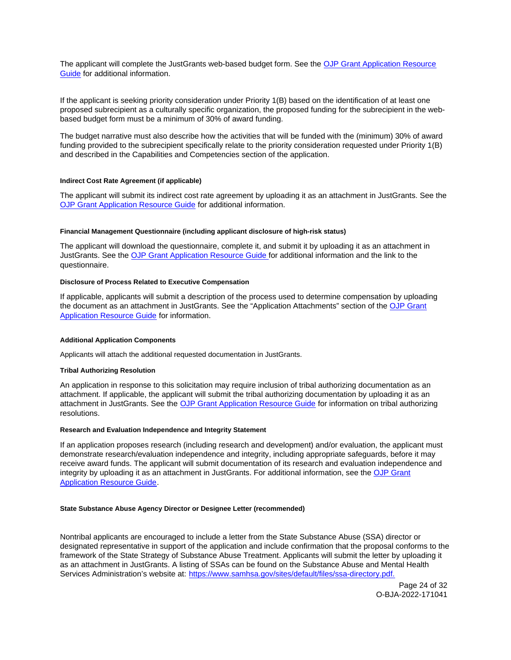<span id="page-23-0"></span>The applicant will complete the JustGrants web-based budget form. See the [OJP Grant Application Resource](https://www.ojp.gov/funding/apply/ojp-grant-application-resource-guide#budget-prep)  [Guide](https://www.ojp.gov/funding/apply/ojp-grant-application-resource-guide#budget-prep) for additional information.

If the applicant is seeking priority consideration under Priority 1(B) based on the identification of at least one proposed subrecipient as a culturally specific organization, the proposed funding for the subrecipient in the webbased budget form must be a minimum of 30% of award funding.

The budget narrative must also describe how the activities that will be funded with the (minimum) 30% of award funding provided to the subrecipient specifically relate to the priority consideration requested under Priority 1(B) and described in the Capabilities and Competencies section of the application.

### **Indirect Cost Rate Agreement (if applicable)**

The applicant will submit its indirect cost rate agreement by uploading it as an attachment in JustGrants. See the [OJP Grant Application Resource Guide](https://www.ojp.gov/funding/apply/ojp-grant-application-resource-guide#budget-prep) for additional information.

### **Financial Management Questionnaire (including applicant disclosure of high-risk status)**

The applicant will download the questionnaire, complete it, and submit it by uploading it as an attachment in JustGrants. See the [OJP Grant Application Resource Guide f](https://www.ojp.gov/funding/apply/ojp-grant-application-resource-guide#fm-internal-controls-questionnaire)or additional information and the link to the questionnaire.

### **Disclosure of Process Related to Executive Compensation**

If applicable, applicants will submit a description of the process used to determine compensation by uploading the document as an attachment in JustGrants. See the "Application Attachments" section of the [OJP Grant](https://www.ojp.gov/funding/apply/ojp-grant-application-resource-guide#application-attachments)  [Application Resource Guide](https://www.ojp.gov/funding/apply/ojp-grant-application-resource-guide#application-attachments) for information.

### **Additional Application Components**

Applicants will attach the additional requested documentation in JustGrants.

### **Tribal Authorizing Resolution**

An application in response to this solicitation may require inclusion of tribal authorizing documentation as an attachment. If applicable, the applicant will submit the tribal authorizing documentation by uploading it as an attachment in JustGrants. See the [OJP Grant Application Resource Guide](https://www.ojp.gov/funding/apply/ojp-grant-application-resource-guide#tribal-authorizing-resolution) for information on tribal authorizing resolutions.

### **Research and Evaluation Independence and Integrity Statement**

If an application proposes research (including research and development) and/or evaluation, the applicant must demonstrate research/evaluation independence and integrity, including appropriate safeguards, before it may receive award funds. The applicant will submit documentation of its research and evaluation independence and integrity by uploading it as an attachment in JustGrants. For additional information, see the [OJP Grant](https://www.ojp.gov/funding/apply/ojp-grant-application-resource-guide#research-evaluation)  [Application Resource Guide.](https://www.ojp.gov/funding/apply/ojp-grant-application-resource-guide#research-evaluation)

### **State Substance Abuse Agency Director or Designee Letter (recommended)**

Nontribal applicants are encouraged to include a letter from the State Substance Abuse (SSA) director or designated representative in support of the application and include confirmation that the proposal conforms to the framework of the State Strategy of Substance Abuse Treatment. Applicants will submit the letter by uploading it as an attachment in JustGrants. A listing of SSAs can be found on the Substance Abuse and Mental Health Services Administration's website at: [https://www.samhsa.gov/sites/default/files/ssa-directory.pdf.](http://www.samhsa.gov/sites/default/files/ssa-directory.pdf) 

> Page 24 of 32 O-BJA-2022-171041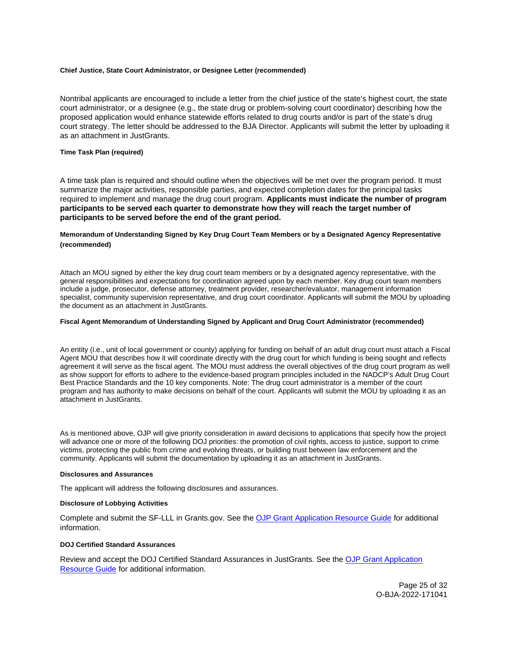#### <span id="page-24-0"></span>**Chief Justice, State Court Administrator, or Designee Letter (recommended)**

Nontribal applicants are encouraged to include a letter from the chief justice of the state's highest court, the state court administrator, or a designee (e.g., the state drug or problem-solving court coordinator) describing how the proposed application would enhance statewide efforts related to drug courts and/or is part of the state's drug court strategy. The letter should be addressed to the BJA Director. Applicants will submit the letter by uploading it as an attachment in JustGrants.

### **Time Task Plan (required)**

A time task plan is required and should outline when the objectives will be met over the program period. It must summarize the major activities, responsible parties, and expected completion dates for the principal tasks required to implement and manage the drug court program. **Applicants must indicate the number of program participants to be served each quarter to demonstrate how they will reach the target number of participants to be served before the end of the grant period.** 

### **Memorandum of Understanding Signed by Key Drug Court Team Members or by a Designated Agency Representative (recommended)**

Attach an MOU signed by either the key drug court team members or by a designated agency representative, with the general responsibilities and expectations for coordination agreed upon by each member. Key drug court team members include a judge, prosecutor, defense attorney, treatment provider, researcher/evaluator, management information specialist, community supervision representative, and drug court coordinator. Applicants will submit the MOU by uploading the document as an attachment in JustGrants.

### **Fiscal Agent Memorandum of Understanding Signed by Applicant and Drug Court Administrator (recommended)**

An entity (i.e., unit of local government or county) applying for funding on behalf of an adult drug court must attach a Fiscal Agent MOU that describes how it will coordinate directly with the drug court for which funding is being sought and reflects agreement it will serve as the fiscal agent. The MOU must address the overall objectives of the drug court program as well as show support for efforts to adhere to the evidence-based program principles included in the NADCP's Adult Drug Court Best Practice Standards and the 10 key components. Note: The drug court administrator is a member of the court program and has authority to make decisions on behalf of the court. Applicants will submit the MOU by uploading it as an attachment in JustGrants.

As is mentioned above, OJP will give priority consideration in award decisions to applications that specify how the project will advance one or more of the following DOJ priorities: the promotion of civil rights, access to justice, support to crime victims, protecting the public from crime and evolving threats, or building trust between law enforcement and the community. Applicants will submit the documentation by uploading it as an attachment in JustGrants.

#### **Disclosures and Assurances**

The applicant will address the following disclosures and assurances.

#### **Disclosure of Lobbying Activities**

Complete and submit the SF-LLL in [Grants.gov.](https://Grants.gov) See the [OJP Grant Application Resource Guide](https://www.ojp.gov/funding/apply/ojp-grant-application-resource-guide#apply) for additional information.

### **DOJ Certified Standard Assurances**

Review and accept the DOJ Certified Standard Assurances in JustGrants. See the OJP Grant Application [Resource Guide](https://www.ojp.gov/funding/apply/ojp-grant-application-resource-guide#administrative) for additional information.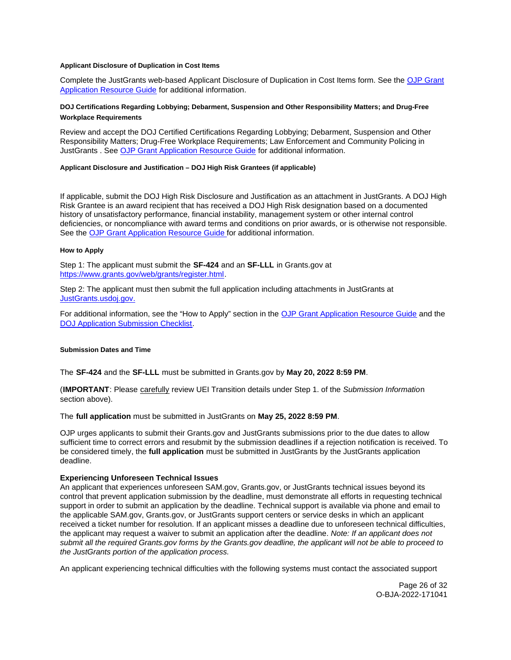### <span id="page-25-0"></span>**Applicant Disclosure of Duplication in Cost Items**

Complete the JustGrants web-based Applicant Disclosure of Duplication in Cost Items form. See the [OJP Grant](https://www.ojp.gov/funding/apply/ojp-grant-application-resource-guide#applicant-disclosure-pending-applications)  [Application Resource Guide](https://www.ojp.gov/funding/apply/ojp-grant-application-resource-guide#applicant-disclosure-pending-applications) for additional information.

### **DOJ Certifications Regarding Lobbying; Debarment, Suspension and Other Responsibility Matters; and Drug-Free Workplace Requirements**

Review and accept the DOJ Certified Certifications Regarding Lobbying; Debarment, Suspension and Other Responsibility Matters; Drug-Free Workplace Requirements; Law Enforcement and Community Policing in JustGrants . See [OJP Grant Application Resource Guide](https://www.ojp.gov/funding/apply/ojp-grant-application-resource-guide#administrative) for additional information.

### **Applicant Disclosure and Justification – DOJ High Risk Grantees (if applicable)**

If applicable, submit the DOJ High Risk Disclosure and Justification as an attachment in JustGrants. A DOJ High Risk Grantee is an award recipient that has received a DOJ High Risk designation based on a documented history of unsatisfactory performance, financial instability, management system or other internal control deficiencies, or noncompliance with award terms and conditions on prior awards, or is otherwise not responsible. See the [OJP Grant Application Resource Guide f](https://www.ojp.gov/funding/apply/ojp-grant-application-resource-guide#applicant-disclosure-justification)or additional information.

### **How to Apply**

Step 1: The applicant must submit the **SF-424** and an **SF-LLL** in [Grants.gov](https://Grants.gov) at [https://www.grants.gov/web/grants/register.html.](https://www.grants.gov/web/grants/register.html)

Step 2: The applicant must then submit the full application including attachments in JustGrants at [JustGrants.usdoj.gov.](https://justicegrants.usdoj.gov/) 

For additional information, see the "How to Apply" section in the [OJP Grant Application Resource Guide](https://www.ojp.gov/funding/apply/ojp-grant-application-resource-guide#apply) and the [DOJ Application Submission Checklist.](https://justicegrants.usdoj.gov/sites/g/files/xyckuh296/files/media/document/appln-submission-checklist.pdf)

### **Submission Dates and Time**

The **SF-424** and the **SF-LLL** must be submitted in [Grants.gov](https://Grants.gov) by **May 20, 2022 8:59 PM**.

(**IMPORTANT**: Please carefully review UEI Transition details under Step 1. of the Submission Information section above).

The **full application** must be submitted in JustGrants on **May 25, 2022 8:59 PM**.

OJP urges applicants to submit their [Grants.gov](https://Grants.gov) and JustGrants submissions prior to the due dates to allow sufficient time to correct errors and resubmit by the submission deadlines if a rejection notification is received. To be considered timely, the **full application** must be submitted in JustGrants by the JustGrants application deadline.

### **Experiencing Unforeseen Technical Issues**

An applicant that experiences unforeseen SAM.gov, [Grants.gov,](https://Grants.gov) or JustGrants technical issues beyond its control that prevent application submission by the deadline, must demonstrate all efforts in requesting technical support in order to submit an application by the deadline. Technical support is available via phone and email to the applicable SAM.gov, [Grants.gov,](https://Grants.gov) or JustGrants support centers or service desks in which an applicant received a ticket number for resolution. If an applicant misses a deadline due to unforeseen technical difficulties, the applicant may request a waiver to submit an application after the deadline. Note: If an applicant does not submit all the required [Grants.gov](https://Grants.gov) forms by the [Grants.gov](https://Grants.gov) deadline, the applicant will not be able to proceed to the JustGrants portion of the application process.

An applicant experiencing technical difficulties with the following systems must contact the associated support

Page 26 of 32 O-BJA-2022-171041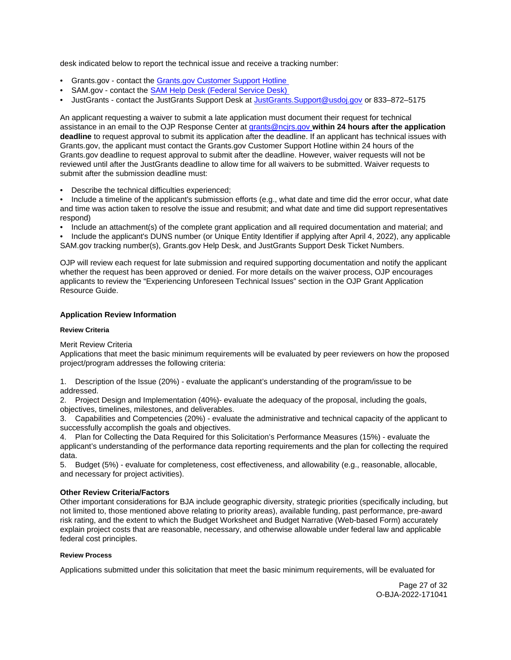<span id="page-26-0"></span>desk indicated below to report the technical issue and receive a tracking number:

- [Grants.gov](https://Grants.gov) contact the Grants.gov Customer Support Hotline
- SAM.gov contact the [SAM Help Desk \(Federal Service Desk\)](https://www.fsd.gov/gsafsd_sp)
- JustGrants contact the JustGrants Support Desk at [JustGrants.Support@usdoj.gov](http://mailto:JustGrants.Support@usdoj.gov) or 833–872–5175

An applicant requesting a waiver to submit a late application must document their request for technical assistance in an email to the OJP Response Center at [grants@ncjrs.gov](http://C:\Users\local_Yehj\INetCache\Content.Outlook\20U4XBR7\grants@ncjrs.gov) **within 24 hours after the application deadline** to request approval to submit its application after the deadline. If an applicant has technical issues with [Grants.gov,](https://Grants.gov) the applicant must contact the [Grants.gov](https://Grants.gov) Customer Support Hotline within 24 hours of the [Grants.gov](https://Grants.gov) deadline to request approval to submit after the deadline. However, waiver requests will not be reviewed until after the JustGrants deadline to allow time for all waivers to be submitted. Waiver requests to submit after the submission deadline must:

Describe the technical difficulties experienced:

Include a timeline of the applicant's submission efforts (e.g., what date and time did the error occur, what date and time was action taken to resolve the issue and resubmit; and what date and time did support representatives respond)

• Include an attachment(s) of the complete grant application and all required documentation and material; and

• Include the applicant's DUNS number (or Unique Entity Identifier if applying after April 4, 2022), any applicable SAM.gov tracking number(s), [Grants.gov](https://Grants.gov) Help Desk, and JustGrants Support Desk Ticket Numbers.

OJP will review each request for late submission and required supporting documentation and notify the applicant whether the request has been approved or denied. For more details on the waiver process, OJP encourages applicants to review the "Experiencing Unforeseen Technical Issues" section in the OJP Grant Application Resource Guide.

### **Application Review Information**

### **Review Criteria**

Merit Review Criteria

Applications that meet the basic minimum requirements will be evaluated by peer reviewers on how the proposed project/program addresses the following criteria:

1. Description of the Issue (20%) - evaluate the applicant's understanding of the program/issue to be addressed.

2. Project Design and Implementation (40%)- evaluate the adequacy of the proposal, including the goals, objectives, timelines, milestones, and deliverables.

3. Capabilities and Competencies (20%) - evaluate the administrative and technical capacity of the applicant to successfully accomplish the goals and objectives.

4. Plan for Collecting the Data Required for this Solicitation's Performance Measures (15%) - evaluate the applicant's understanding of the performance data reporting requirements and the plan for collecting the required data.

5. Budget (5%) - evaluate for completeness, cost effectiveness, and allowability (e.g., reasonable, allocable, and necessary for project activities).

### **Other Review Criteria/Factors**

Other important considerations for BJA include geographic diversity, strategic priorities (specifically including, but not limited to, those mentioned above relating to priority areas), available funding, past performance, pre-award risk rating, and the extent to which the Budget Worksheet and Budget Narrative (Web-based Form) accurately explain project costs that are reasonable, necessary, and otherwise allowable under federal law and applicable federal cost principles.

### **Review Process**

Applications submitted under this solicitation that meet the basic minimum requirements, will be evaluated for

Page 27 of 32 O-BJA-2022-171041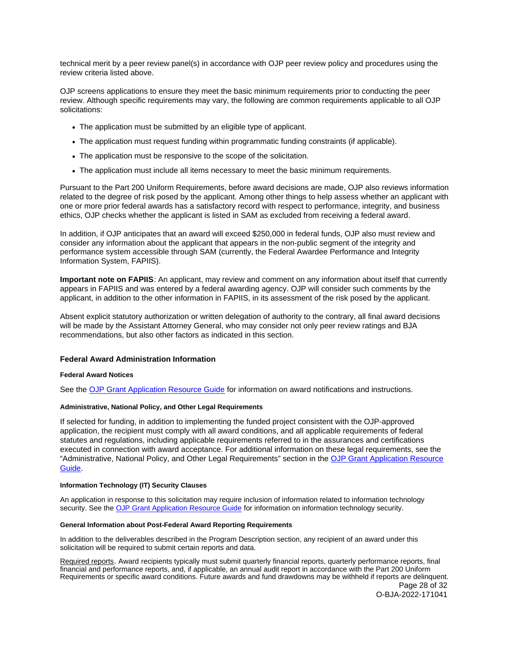<span id="page-27-0"></span>technical merit by a peer review panel(s) in accordance with OJP peer review policy and procedures using the review criteria listed above.

OJP screens applications to ensure they meet the basic minimum requirements prior to conducting the peer review. Although specific requirements may vary, the following are common requirements applicable to all OJP solicitations:

- The application must be submitted by an eligible type of applicant.
- The application must request funding within programmatic funding constraints (if applicable).
- The application must be responsive to the scope of the solicitation.
- The application must include all items necessary to meet the basic minimum requirements.

Pursuant to the Part 200 Uniform Requirements, before award decisions are made, OJP also reviews information related to the degree of risk posed by the applicant. Among other things to help assess whether an applicant with one or more prior federal awards has a satisfactory record with respect to performance, integrity, and business ethics, OJP checks whether the applicant is listed in SAM as excluded from receiving a federal award.

In addition, if OJP anticipates that an award will exceed \$250,000 in federal funds, OJP also must review and consider any information about the applicant that appears in the non-public segment of the integrity and performance system accessible through SAM (currently, the Federal Awardee Performance and Integrity Information System, FAPIIS).

**Important note on FAPIIS**: An applicant, may review and comment on any information about itself that currently appears in FAPIIS and was entered by a federal awarding agency. OJP will consider such comments by the applicant, in addition to the other information in FAPIIS, in its assessment of the risk posed by the applicant.

Absent explicit statutory authorization or written delegation of authority to the contrary, all final award decisions will be made by the Assistant Attorney General, who may consider not only peer review ratings and BJA recommendations, but also other factors as indicated in this section.

### **Federal Award Administration Information**

### **Federal Award Notices**

See the [OJP Grant Application Resource Guide](https://www.ojp.gov/funding/apply/ojp-grant-application-resource-guide#federal-award-notices) for information on award notifications and instructions.

### **Administrative, National Policy, and Other Legal Requirements**

If selected for funding, in addition to implementing the funded project consistent with the OJP-approved application, the recipient must comply with all award conditions, and all applicable requirements of federal statutes and regulations, including applicable requirements referred to in the assurances and certifications executed in connection with award acceptance. For additional information on these legal requirements, see the "Administrative, National Policy, and Other Legal Requirements" section in the [OJP Grant Application Resource](https://www.ojp.gov/funding/apply/ojp-grant-application-resource-guide#administrative)  [Guide.](https://www.ojp.gov/funding/apply/ojp-grant-application-resource-guide#administrative)

### **Information Technology (IT) Security Clauses**

An application in response to this solicitation may require inclusion of information related to information technology security. See the [OJP Grant Application Resource Guide](https://www.ojp.gov/funding/apply/ojp-grant-application-resource-guide#information-technology) for information on information technology security.

#### **General Information about Post-Federal Award Reporting Requirements**

In addition to the deliverables described in the Program Description section, any recipient of an award under this solicitation will be required to submit certain reports and data.

Required reports. Award recipients typically must submit quarterly financial reports, quarterly performance reports, final financial and performance reports, and, if applicable, an annual audit report in accordance with the Part 200 Uniform Requirements or specific award conditions. Future awards and fund drawdowns may be withheld if reports are delinquent.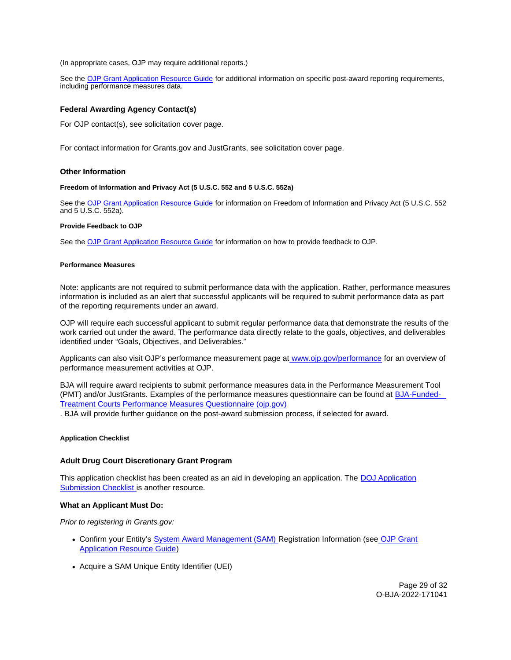<span id="page-28-0"></span>(In appropriate cases, OJP may require additional reports.)

See the [OJP Grant Application Resource Guide](https://www.ojp.gov/funding/apply/ojp-grant-application-resource-guide#general-information) for additional information on specific post-award reporting requirements, including performance measures data.

### **Federal Awarding Agency Contact(s)**

For OJP contact(s), see solicitation cover page.

For contact information for [Grants.gov](https://Grants.gov) and JustGrants, see solicitation cover page.

#### **Other Information**

#### **Freedom of Information and Privacy Act (5 U.S.C. 552 and 5 U.S.C. 552a)**

See the [OJP Grant Application Resource Guide](https://www.ojp.gov/funding/apply/ojp-grant-application-resource-guide#foia) for information on Freedom of Information and Privacy Act (5 U.S.C. 552 and 5 U.S.C. 552a).

#### **Provide Feedback to OJP**

See the [OJP Grant Application Resource Guide](https://www.ojp.gov/funding/apply/ojp-grant-application-resource-guide#feedback) for information on how to provide feedback to OJP.

### **Performance Measures**

Note: applicants are not required to submit performance data with the application. Rather, performance measures information is included as an alert that successful applicants will be required to submit performance data as part of the reporting requirements under an award.

OJP will require each successful applicant to submit regular performance data that demonstrate the results of the work carried out under the award. The performance data directly relate to the goals, objectives, and deliverables identified under "Goals, Objectives, and Deliverables."

Applicants can also visit OJP's performance measurement page at [www.ojp.gov/performance](https://www.ojp.gov/performance) for an overview of performance measurement activities at OJP.

BJA will require award recipients to submit performance measures data in the Performance Measurement Tool (PMT) and/or JustGrants. Examples of the performance measures questionnaire can be found at [BJA-Funded-](https://bja.ojp.gov/sites/g/files/xyckuh186/files/media/document/TreatmentCourt-Measures.pdf)[Treatment Courts Performance Measures Questionnaire \(ojp.gov\)](https://bja.ojp.gov/sites/g/files/xyckuh186/files/media/document/TreatmentCourt-Measures.pdf) 

. BJA will provide further guidance on the post-award submission process, if selected for award.

### **Application Checklist**

### **Adult Drug Court Discretionary Grant Program**

This application checklist has been created as an aid in developing an application. The [DOJ Application](https://justicegrants.usdoj.gov/sites/g/files/xyckuh296/files/media/document/appln-submission-checklist.pdf)  [Submission Checklist i](https://justicegrants.usdoj.gov/sites/g/files/xyckuh296/files/media/document/appln-submission-checklist.pdf)s another resource.

### **What an Applicant Must Do:**

Prior to registering in [Grants.gov](https://Grants.gov):

- Confirm your Entity's [System Award Management \(SAM\) R](https://sam.gov/SAM/)egistration Information (see [OJP Grant](https://www.ojp.gov/funding/apply/ojp-grant-application-resource-guide#apply)  [Application Resource Guide\)](https://www.ojp.gov/funding/apply/ojp-grant-application-resource-guide#apply)
- Acquire a SAM Unique Entity Identifier (UEI)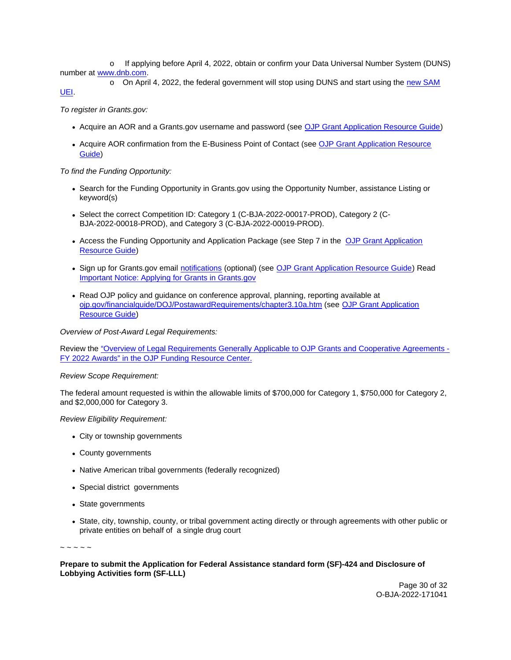o If applying before April 4, 2022, obtain or confirm your Data Universal Number System (DUNS) number at [www.dnb.com.](http://www.dnb.com/)

o On April 4, 2022, the federal government will stop using DUNS and start using the [new SAM](https://justicegrants.usdoj.gov/resources/system-for-award-management#transition-to-unique-entity-id-sam) 

[UEI.](https://justicegrants.usdoj.gov/resources/system-for-award-management#transition-to-unique-entity-id-sam)

To register in [Grants.gov:](https://Grants.gov)

- Acquire an AOR and a [Grants.gov](https://Grants.gov) username and password (see [OJP Grant Application Resource Guide\)](https://www.ojp.gov/funding/apply/ojp-grant-application-resource-guide#apply)
- Acquire AOR confirmation from the E-Business Point of Contact (see [OJP Grant Application Resource](https://www.ojp.gov/funding/apply/ojp-grant-application-resource-guide#apply)  [Guide\)](https://www.ojp.gov/funding/apply/ojp-grant-application-resource-guide#apply)

To find the Funding Opportunity:

- Search for the Funding Opportunity in [Grants.gov](https://Grants.gov) using the Opportunity Number, assistance Listing or keyword(s)
- Select the correct Competition ID: Category 1 (C-BJA-2022-00017-PROD), Category 2 (C-BJA-2022-00018-PROD), and Category 3 (C-BJA-2022-00019-PROD).
- Access the Funding Opportunity and Application Package (see Step 7 in the OJP Grant Application [Resource Guide\)](https://www.ojp.gov/funding/apply/ojp-grant-application-resource-guide#apply)
- Sign up for [Grants.gov](https://Grants.gov) email [notifications](https://www.grants.gov/web/grants/manage-subscriptions.html) (optional) (see [OJP Grant Application Resource Guide\)](https://www.ojp.gov/funding/apply/ojp-grant-application-resource-guide#apply) Read [Important Notice: Applying for Grants in Grants.gov](https://ojp.gov/funding/Apply/Grants-govInfo.htm)
- Read OJP policy and guidance on conference approval, planning, reporting available at [ojp.gov/financialguide/DOJ/PostawardRequirements/chapter3.10a.htm](https://ojp.gov/financialguide/DOJ/PostawardRequirements/chapter3.10a.htm) (see [OJP Grant Application](https://www.ojp.gov/funding/apply/ojp-grant-application-resource-guide#prior-approval)  [Resource Guide\)](https://www.ojp.gov/funding/apply/ojp-grant-application-resource-guide#prior-approval)

Overview of Post-Award Legal Requirements:

Review the ["Overview of Legal Requirements Generally Applicable to OJP Grants and Cooperative Agreements -](https://www.ojp.gov/funding/explore/legal-overview-fy-2022-awards) [FY 2022 Awards" in the OJP Funding Resource Center.](https://www.ojp.gov/funding/explore/legal-overview-fy-2022-awards) 

### Review Scope Requirement:

The federal amount requested is within the allowable limits of \$700,000 for Category 1, \$750,000 for Category 2, and \$2,000,000 for Category 3.

Review Eligibility Requirement:

- City or township governments
- County governments
- Native American tribal governments (federally recognized)
- Special district governments
- State governments
- State, city, township, county, or tribal government acting directly or through agreements with other public or private entities on behalf of a single drug court

 $\sim$   $\sim$   $\sim$   $\sim$ 

**Prepare to submit the Application for Federal Assistance standard form (SF)-424 and Disclosure of Lobbying Activities form (SF-LLL)** 

> Page 30 of 32 O-BJA-2022-171041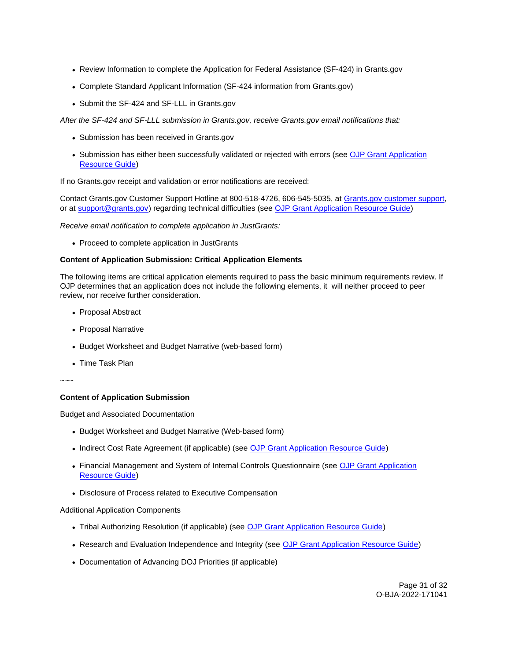- Review Information to complete the Application for Federal Assistance (SF-424) in [Grants.gov](https://Grants.gov)
- Complete Standard Applicant Information (SF-424 information from [Grants.gov](https://Grants.gov))
- Submit the SF-424 and SF-LLL in [Grants.gov](https://Grants.gov)

After the SF-424 and SF-LLL submission in [Grants.gov](https://Grants.gov), receive [Grants.gov](https://Grants.gov) email notifications that:

- Submission has been received in [Grants.gov](https://Grants.gov)
- Submission has either been successfully validated or rejected with errors (see OJP Grant Application [Resource Guide\)](https://www.ojp.gov/funding/apply/ojp-grant-application-resource-guide#apply)

If no [Grants.gov](https://Grants.gov) receipt and validation or error notifications are received:

Contact [Grants.gov](https://Grants.gov) Customer Support Hotline at 800-518-4726, 606-545-5035, at [Grants.gov customer support,](https://www.grants.gov/web/grants/support.html) or at [support@grants.gov\)](http://mailto:support@grants.gov) regarding technical difficulties (see [OJP Grant Application Resource Guide\)](https://www.ojp.gov/funding/apply/ojp-grant-application-resource-guide#apply)

Receive email notification to complete application in JustGrants:

• Proceed to complete application in JustGrants

# **Content of Application Submission: Critical Application Elements**

The following items are critical application elements required to pass the basic minimum requirements review. If OJP determines that an application does not include the following elements, it will neither proceed to peer review, nor receive further consideration.

- Proposal Abstract
- Proposal Narrative
- Budget Worksheet and Budget Narrative (web-based form)
- Time Task Plan

~~~

# **Content of Application Submission**

Budget and Associated Documentation

- Budget Worksheet and Budget Narrative (Web-based form)
- Indirect Cost Rate Agreement (if applicable) (see [OJP Grant Application Resource Guide\)](https://www.ojp.gov/funding/apply/ojp-grant-application-resource-guide#indirect-cost)
- Financial Management and System of Internal Controls Questionnaire (see [OJP Grant Application](https://www.ojp.gov/funding/apply/ojp-grant-application-resource-guide#fm-internal-controls-questionnaire)  [Resource Guide\)](https://www.ojp.gov/funding/apply/ojp-grant-application-resource-guide#fm-internal-controls-questionnaire)
- Disclosure of Process related to Executive Compensation

# Additional Application Components

- Tribal Authorizing Resolution (if applicable) (see [OJP Grant Application Resource Guide\)](https://www.ojp.gov/funding/apply/ojp-grant-application-resource-guide#tribal-authorizing-resolution)
- Research and Evaluation Independence and Integrity (see [OJP Grant Application Resource Guide\)](https://www.ojp.gov/funding/apply/ojp-grant-application-resource-guide#research-evaluation)
- Documentation of Advancing DOJ Priorities (if applicable)